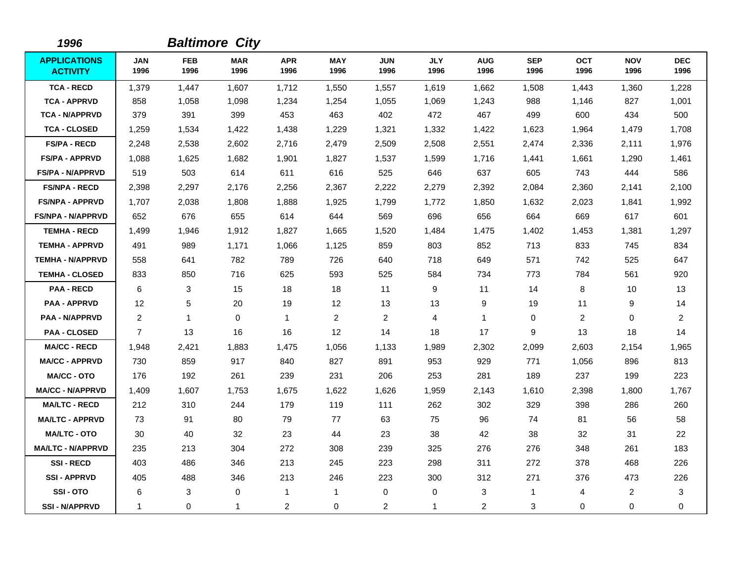| 1996                                   |                    |                    | <b>Baltimore City</b> |                    |                    |                    |                    |                         |                    |                    |                    |                    |
|----------------------------------------|--------------------|--------------------|-----------------------|--------------------|--------------------|--------------------|--------------------|-------------------------|--------------------|--------------------|--------------------|--------------------|
| <b>APPLICATIONS</b><br><b>ACTIVITY</b> | <b>JAN</b><br>1996 | <b>FEB</b><br>1996 | <b>MAR</b><br>1996    | <b>APR</b><br>1996 | <b>MAY</b><br>1996 | <b>JUN</b><br>1996 | <b>JLY</b><br>1996 | <b>AUG</b><br>1996      | <b>SEP</b><br>1996 | <b>OCT</b><br>1996 | <b>NOV</b><br>1996 | <b>DEC</b><br>1996 |
| <b>TCA - RECD</b>                      | 1,379              | 1,447              | 1,607                 | 1,712              | 1,550              | 1,557              | 1,619              | 1,662                   | 1,508              | 1,443              | 1,360              | 1,228              |
| <b>TCA - APPRVD</b>                    | 858                | 1,058              | 1,098                 | 1,234              | 1,254              | 1,055              | 1,069              | 1,243                   | 988                | 1,146              | 827                | 1,001              |
| <b>TCA - N/APPRVD</b>                  | 379                | 391                | 399                   | 453                | 463                | 402                | 472                | 467                     | 499                | 600                | 434                | 500                |
| <b>TCA - CLOSED</b>                    | 1,259              | 1,534              | 1,422                 | 1,438              | 1,229              | 1,321              | 1,332              | 1,422                   | 1,623              | 1,964              | 1,479              | 1,708              |
| <b>FS/PA - RECD</b>                    | 2,248              | 2,538              | 2,602                 | 2,716              | 2,479              | 2,509              | 2,508              | 2,551                   | 2,474              | 2,336              | 2,111              | 1,976              |
| <b>FS/PA - APPRVD</b>                  | 1,088              | 1,625              | 1,682                 | 1,901              | 1,827              | 1,537              | 1,599              | 1,716                   | 1,441              | 1,661              | 1,290              | 1,461              |
| <b>FS/PA - N/APPRVD</b>                | 519                | 503                | 614                   | 611                | 616                | 525                | 646                | 637                     | 605                | 743                | 444                | 586                |
| <b>FS/NPA - RECD</b>                   | 2,398              | 2,297              | 2,176                 | 2,256              | 2,367              | 2,222              | 2,279              | 2,392                   | 2,084              | 2,360              | 2,141              | 2,100              |
| <b>FS/NPA - APPRVD</b>                 | 1,707              | 2,038              | 1,808                 | 1,888              | 1,925              | 1,799              | 1,772              | 1,850                   | 1,632              | 2,023              | 1,841              | 1,992              |
| <b>FS/NPA - N/APPRVD</b>               | 652                | 676                | 655                   | 614                | 644                | 569                | 696                | 656                     | 664                | 669                | 617                | 601                |
| <b>TEMHA - RECD</b>                    | 1,499              | 1,946              | 1,912                 | 1,827              | 1,665              | 1,520              | 1,484              | 1,475                   | 1,402              | 1,453              | 1,381              | 1,297              |
| <b>TEMHA - APPRVD</b>                  | 491                | 989                | 1,171                 | 1,066              | 1,125              | 859                | 803                | 852                     | 713                | 833                | 745                | 834                |
| <b>TEMHA - N/APPRVD</b>                | 558                | 641                | 782                   | 789                | 726                | 640                | 718                | 649                     | 571                | 742                | 525                | 647                |
| <b>TEMHA - CLOSED</b>                  | 833                | 850                | 716                   | 625                | 593                | 525                | 584                | 734                     | 773                | 784                | 561                | 920                |
| <b>PAA - RECD</b>                      | 6                  | 3                  | 15                    | 18                 | 18                 | 11                 | 9                  | 11                      | 14                 | 8                  | 10                 | 13                 |
| <b>PAA - APPRVD</b>                    | 12                 | 5                  | 20                    | 19                 | 12                 | 13                 | 13                 | 9                       | 19                 | 11                 | 9                  | 14                 |
| <b>PAA - N/APPRVD</b>                  | 2                  | 1                  | $\mathbf 0$           | $\mathbf{1}$       | $\overline{c}$     | $\overline{c}$     | 4                  | 1                       | 0                  | 2                  | $\mathbf 0$        | $\overline{c}$     |
| <b>PAA - CLOSED</b>                    | $\overline{7}$     | 13                 | 16                    | 16                 | 12                 | 14                 | 18                 | 17                      | 9                  | 13                 | 18                 | 14                 |
| <b>MA/CC - RECD</b>                    | 1,948              | 2,421              | 1,883                 | 1,475              | 1,056              | 1,133              | 1,989              | 2,302                   | 2,099              | 2,603              | 2,154              | 1,965              |
| <b>MA/CC - APPRVD</b>                  | 730                | 859                | 917                   | 840                | 827                | 891                | 953                | 929                     | 771                | 1,056              | 896                | 813                |
| <b>MA/CC - OTO</b>                     | 176                | 192                | 261                   | 239                | 231                | 206                | 253                | 281                     | 189                | 237                | 199                | 223                |
| <b>MA/CC - N/APPRVD</b>                | 1,409              | 1,607              | 1,753                 | 1,675              | 1,622              | 1,626              | 1,959              | 2,143                   | 1,610              | 2,398              | 1,800              | 1,767              |
| <b>MA/LTC - RECD</b>                   | 212                | 310                | 244                   | 179                | 119                | 111                | 262                | 302                     | 329                | 398                | 286                | 260                |
| <b>MA/LTC - APPRVD</b>                 | 73                 | 91                 | 80                    | 79                 | 77                 | 63                 | 75                 | 96                      | 74                 | 81                 | 56                 | 58                 |
| <b>MA/LTC - OTO</b>                    | 30                 | 40                 | 32                    | 23                 | 44                 | 23                 | 38                 | 42                      | 38                 | 32                 | 31                 | 22                 |
| <b>MA/LTC - N/APPRVD</b>               | 235                | 213                | 304                   | 272                | 308                | 239                | 325                | 276                     | 276                | 348                | 261                | 183                |
| <b>SSI-RECD</b>                        | 403                | 486                | 346                   | 213                | 245                | 223                | 298                | 311                     | 272                | 378                | 468                | 226                |
| <b>SSI-APPRVD</b>                      | 405                | 488                | 346                   | 213                | 246                | 223                | 300                | 312                     | 271                | 376                | 473                | 226                |
| SSI-OTO                                | 6                  | 3                  | $\mathbf 0$           | 1                  | $\mathbf{1}$       | $\pmb{0}$          | $\mathbf 0$        | 3                       | $\mathbf{1}$       | $\overline{4}$     | $\overline{c}$     | 3                  |
| <b>SSI - N/APPRVD</b>                  | $\overline{1}$     | 0                  | 1                     | $\overline{c}$     | $\pmb{0}$          | $\overline{c}$     | 1                  | $\overline{\mathbf{c}}$ | 3                  | $\mathbf 0$        | 0                  | 0                  |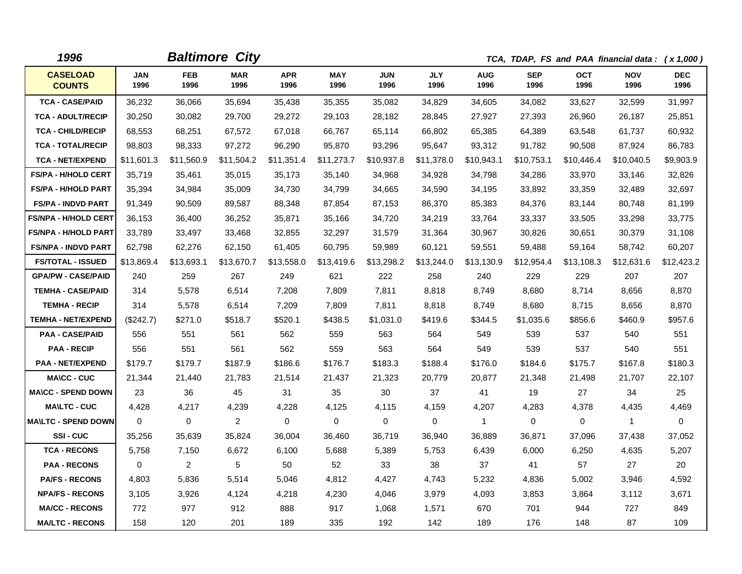| 1996                             |                    |                    | <b>Baltimore City</b> |                    |                    |                    |                    |                    |                    |                    | TCA, TDAP, FS and PAA financial data: (x 1,000) |                    |
|----------------------------------|--------------------|--------------------|-----------------------|--------------------|--------------------|--------------------|--------------------|--------------------|--------------------|--------------------|-------------------------------------------------|--------------------|
| <b>CASELOAD</b><br><b>COUNTS</b> | <b>JAN</b><br>1996 | <b>FEB</b><br>1996 | <b>MAR</b><br>1996    | <b>APR</b><br>1996 | <b>MAY</b><br>1996 | <b>JUN</b><br>1996 | <b>JLY</b><br>1996 | <b>AUG</b><br>1996 | <b>SEP</b><br>1996 | <b>OCT</b><br>1996 | <b>NOV</b><br>1996                              | <b>DEC</b><br>1996 |
| <b>TCA - CASE/PAID</b>           | 36,232             | 36,066             | 35,694                | 35,438             | 35,355             | 35,082             | 34,829             | 34,605             | 34,082             | 33,627             | 32,599                                          | 31,997             |
| <b>TCA - ADULT/RECIP</b>         | 30,250             | 30,082             | 29,700                | 29,272             | 29,103             | 28,182             | 28,845             | 27,927             | 27,393             | 26,960             | 26,187                                          | 25,851             |
| <b>TCA - CHILD/RECIP</b>         | 68,553             | 68,251             | 67,572                | 67,018             | 66,767             | 65.114             | 66,802             | 65,385             | 64,389             | 63,548             | 61,737                                          | 60,932             |
| <b>TCA - TOTAL/RECIP</b>         | 98,803             | 98,333             | 97,272                | 96,290             | 95,870             | 93,296             | 95,647             | 93,312             | 91,782             | 90,508             | 87,924                                          | 86,783             |
| <b>TCA - NET/EXPEND</b>          | \$11,601.3         | \$11,560.9         | \$11,504.2            | \$11,351.4         | \$11,273.7         | \$10,937.8         | \$11,378.0         | \$10,943.1         | \$10,753.1         | \$10,446.4         | \$10,040.5                                      | \$9,903.9          |
| <b>FS/PA - H/HOLD CERT</b>       | 35,719             | 35,461             | 35,015                | 35,173             | 35,140             | 34,968             | 34,928             | 34,798             | 34,286             | 33,970             | 33,146                                          | 32,826             |
| <b>FS/PA - H/HOLD PART</b>       | 35,394             | 34,984             | 35,009                | 34,730             | 34,799             | 34,665             | 34,590             | 34,195             | 33,892             | 33,359             | 32,489                                          | 32,697             |
| <b>FS/PA - INDVD PART</b>        | 91,349             | 90,509             | 89,587                | 88,348             | 87,854             | 87,153             | 86,370             | 85,383             | 84,376             | 83,144             | 80,748                                          | 81,199             |
| <b>FS/NPA - H/HOLD CERT</b>      | 36,153             | 36,400             | 36,252                | 35,871             | 35,166             | 34,720             | 34,219             | 33,764             | 33,337             | 33,505             | 33,298                                          | 33,775             |
| <b>FS/NPA - H/HOLD PART</b>      | 33,789             | 33,497             | 33,468                | 32,855             | 32,297             | 31,579             | 31,364             | 30,967             | 30,826             | 30,651             | 30,379                                          | 31,108             |
| <b>FS/NPA - INDVD PART</b>       | 62,798             | 62,276             | 62,150                | 61,405             | 60,795             | 59,989             | 60,121             | 59,551             | 59,488             | 59,164             | 58,742                                          | 60,207             |
| <b>FS/TOTAL - ISSUED</b>         | \$13,869.4         | \$13,693.1         | \$13,670.7            | \$13,558.0         | \$13,419.6         | \$13,298.2         | \$13,244.0         | \$13,130.9         | \$12,954.4         | \$13,108.3         | \$12,631.6                                      | \$12,423.2         |
| <b>GPA/PW - CASE/PAID</b>        | 240                | 259                | 267                   | 249                | 621                | 222                | 258                | 240                | 229                | 229                | 207                                             | 207                |
| <b>TEMHA - CASE/PAID</b>         | 314                | 5,578              | 6,514                 | 7,208              | 7,809              | 7,811              | 8,818              | 8,749              | 8,680              | 8,714              | 8,656                                           | 8,870              |
| <b>TEMHA - RECIP</b>             | 314                | 5,578              | 6,514                 | 7,209              | 7,809              | 7,811              | 8,818              | 8,749              | 8,680              | 8,715              | 8,656                                           | 8,870              |
| <b>TEMHA - NET/EXPEND</b>        | $(\$242.7)$        | \$271.0            | \$518.7               | \$520.1            | \$438.5            | \$1,031.0          | \$419.6            | \$344.5            | \$1,035.6          | \$856.6            | \$460.9                                         | \$957.6            |
| <b>PAA - CASE/PAID</b>           | 556                | 551                | 561                   | 562                | 559                | 563                | 564                | 549                | 539                | 537                | 540                                             | 551                |
| <b>PAA - RECIP</b>               | 556                | 551                | 561                   | 562                | 559                | 563                | 564                | 549                | 539                | 537                | 540                                             | 551                |
| <b>PAA - NET/EXPEND</b>          | \$179.7            | \$179.7            | \$187.9               | \$186.6            | \$176.7            | \$183.3            | \$188.4            | \$176.0            | \$184.6            | \$175.7            | \$167.8                                         | \$180.3            |
| <b>MA\CC - CUC</b>               | 21.344             | 21,440             | 21.783                | 21.514             | 21,437             | 21,323             | 20.779             | 20,877             | 21,348             | 21,498             | 21,707                                          | 22,107             |
| <b>MA\CC - SPEND DOWN</b>        | 23                 | 36                 | 45                    | 31                 | 35                 | 30                 | 37                 | 41                 | 19                 | 27                 | 34                                              | 25                 |
| <b>MAILTC - CUC</b>              | 4,428              | 4,217              | 4.239                 | 4,228              | 4,125              | 4.115              | 4.159              | 4,207              | 4,283              | 4,378              | 4,435                                           | 4,469              |
| <b>MAILTC - SPEND DOWN</b>       | $\Omega$           | 0                  | $\overline{2}$        | 0                  | 0                  | 0                  | 0                  | $\mathbf{1}$       | $\Omega$           | 0                  | $\mathbf{1}$                                    | 0                  |
| <b>SSI-CUC</b>                   | 35,256             | 35,639             | 35,824                | 36,004             | 36,460             | 36,719             | 36,940             | 36,889             | 36,871             | 37,096             | 37,438                                          | 37,052             |
| <b>TCA - RECONS</b>              | 5.758              | 7,150              | 6.672                 | 6.100              | 5,688              | 5.389              | 5,753              | 6,439              | 6.000              | 6,250              | 4,635                                           | 5,207              |
| <b>PAA - RECONS</b>              | 0                  | $\overline{2}$     | 5                     | 50                 | 52                 | 33                 | 38                 | 37                 | 41                 | 57                 | 27                                              | 20                 |
| <b>PA/FS - RECONS</b>            | 4,803              | 5,836              | 5,514                 | 5,046              | 4,812              | 4,427              | 4,743              | 5,232              | 4,836              | 5,002              | 3,946                                           | 4,592              |
| <b>NPA/FS - RECONS</b>           | 3,105              | 3,926              | 4,124                 | 4,218              | 4,230              | 4,046              | 3,979              | 4,093              | 3,853              | 3,864              | 3,112                                           | 3,671              |
| <b>MA/CC - RECONS</b>            | 772                | 977                | 912                   | 888                | 917                | 1,068              | 1,571              | 670                | 701                | 944                | 727                                             | 849                |
| <b>MA/LTC - RECONS</b>           | 158                | 120                | 201                   | 189                | 335                | 192                | 142                | 189                | 176                | 148                | 87                                              | 109                |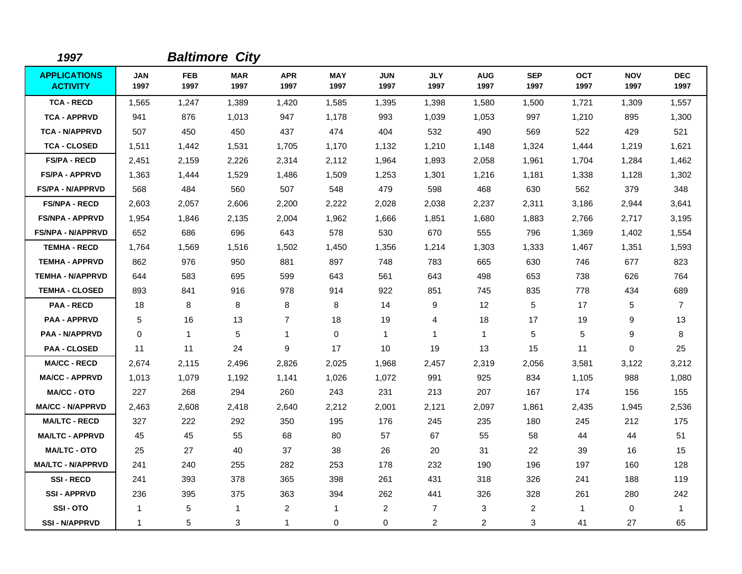| 1997                                   |                    |                    | <b>Baltimore City</b> |                    |                    |                    |                    |                    |                    |                    |                    |                    |
|----------------------------------------|--------------------|--------------------|-----------------------|--------------------|--------------------|--------------------|--------------------|--------------------|--------------------|--------------------|--------------------|--------------------|
| <b>APPLICATIONS</b><br><b>ACTIVITY</b> | <b>JAN</b><br>1997 | <b>FEB</b><br>1997 | <b>MAR</b><br>1997    | <b>APR</b><br>1997 | <b>MAY</b><br>1997 | <b>JUN</b><br>1997 | <b>JLY</b><br>1997 | <b>AUG</b><br>1997 | <b>SEP</b><br>1997 | <b>OCT</b><br>1997 | <b>NOV</b><br>1997 | <b>DEC</b><br>1997 |
| <b>TCA - RECD</b>                      | 1,565              | 1,247              | 1,389                 | 1,420              | 1,585              | 1,395              | 1,398              | 1,580              | 1,500              | 1,721              | 1,309              | 1,557              |
| <b>TCA - APPRVD</b>                    | 941                | 876                | 1,013                 | 947                | 1,178              | 993                | 1,039              | 1,053              | 997                | 1,210              | 895                | 1,300              |
| <b>TCA - N/APPRVD</b>                  | 507                | 450                | 450                   | 437                | 474                | 404                | 532                | 490                | 569                | 522                | 429                | 521                |
| <b>TCA - CLOSED</b>                    | 1,511              | 1,442              | 1,531                 | 1,705              | 1,170              | 1,132              | 1,210              | 1,148              | 1,324              | 1,444              | 1,219              | 1,621              |
| <b>FS/PA - RECD</b>                    | 2,451              | 2,159              | 2,226                 | 2,314              | 2,112              | 1,964              | 1,893              | 2,058              | 1,961              | 1,704              | 1,284              | 1,462              |
| <b>FS/PA - APPRVD</b>                  | 1,363              | 1,444              | 1,529                 | 1,486              | 1,509              | 1,253              | 1,301              | 1,216              | 1,181              | 1,338              | 1,128              | 1,302              |
| <b>FS/PA - N/APPRVD</b>                | 568                | 484                | 560                   | 507                | 548                | 479                | 598                | 468                | 630                | 562                | 379                | 348                |
| <b>FS/NPA - RECD</b>                   | 2,603              | 2,057              | 2,606                 | 2,200              | 2,222              | 2,028              | 2,038              | 2,237              | 2,311              | 3,186              | 2,944              | 3,641              |
| <b>FS/NPA - APPRVD</b>                 | 1,954              | 1,846              | 2,135                 | 2,004              | 1,962              | 1,666              | 1,851              | 1,680              | 1,883              | 2,766              | 2,717              | 3,195              |
| <b>FS/NPA - N/APPRVD</b>               | 652                | 686                | 696                   | 643                | 578                | 530                | 670                | 555                | 796                | 1,369              | 1,402              | 1,554              |
| <b>TEMHA - RECD</b>                    | 1,764              | 1,569              | 1,516                 | 1,502              | 1,450              | 1,356              | 1,214              | 1,303              | 1,333              | 1,467              | 1,351              | 1,593              |
| <b>TEMHA - APPRVD</b>                  | 862                | 976                | 950                   | 881                | 897                | 748                | 783                | 665                | 630                | 746                | 677                | 823                |
| <b>TEMHA - N/APPRVD</b>                | 644                | 583                | 695                   | 599                | 643                | 561                | 643                | 498                | 653                | 738                | 626                | 764                |
| <b>TEMHA - CLOSED</b>                  | 893                | 841                | 916                   | 978                | 914                | 922                | 851                | 745                | 835                | 778                | 434                | 689                |
| <b>PAA - RECD</b>                      | 18                 | 8                  | 8                     | 8                  | 8                  | 14                 | 9                  | 12                 | 5                  | 17                 | $\sqrt{5}$         | $\overline{7}$     |
| <b>PAA - APPRVD</b>                    | 5                  | 16                 | 13                    | $\overline{7}$     | 18                 | 19                 | 4                  | 18                 | 17                 | 19                 | 9                  | 13                 |
| PAA - N/APPRVD                         | $\Omega$           | 1                  | 5                     | $\mathbf 1$        | 0                  | $\mathbf{1}$       | $\mathbf{1}$       | $\mathbf{1}$       | 5                  | 5                  | $\boldsymbol{9}$   | 8                  |
| <b>PAA - CLOSED</b>                    | 11                 | 11                 | 24                    | 9                  | 17                 | 10                 | 19                 | 13                 | 15                 | 11                 | 0                  | 25                 |
| <b>MA/CC - RECD</b>                    | 2,674              | 2,115              | 2,496                 | 2,826              | 2,025              | 1,968              | 2,457              | 2,319              | 2,056              | 3,581              | 3,122              | 3,212              |
| <b>MA/CC - APPRVD</b>                  | 1,013              | 1,079              | 1,192                 | 1,141              | 1,026              | 1,072              | 991                | 925                | 834                | 1,105              | 988                | 1,080              |
| <b>MA/CC - OTO</b>                     | 227                | 268                | 294                   | 260                | 243                | 231                | 213                | 207                | 167                | 174                | 156                | 155                |
| <b>MA/CC - N/APPRVD</b>                | 2,463              | 2,608              | 2,418                 | 2,640              | 2,212              | 2,001              | 2,121              | 2,097              | 1,861              | 2,435              | 1,945              | 2,536              |
| <b>MA/LTC - RECD</b>                   | 327                | 222                | 292                   | 350                | 195                | 176                | 245                | 235                | 180                | 245                | 212                | 175                |
| <b>MA/LTC - APPRVD</b>                 | 45                 | 45                 | 55                    | 68                 | 80                 | 57                 | 67                 | 55                 | 58                 | 44                 | 44                 | 51                 |
| <b>MA/LTC - OTO</b>                    | 25                 | 27                 | 40                    | 37                 | 38                 | 26                 | 20                 | 31                 | 22                 | 39                 | 16                 | 15                 |
| <b>MA/LTC - N/APPRVD</b>               | 241                | 240                | 255                   | 282                | 253                | 178                | 232                | 190                | 196                | 197                | 160                | 128                |
| <b>SSI-RECD</b>                        | 241                | 393                | 378                   | 365                | 398                | 261                | 431                | 318                | 326                | 241                | 188                | 119                |
| <b>SSI - APPRVD</b>                    | 236                | 395                | 375                   | 363                | 394                | 262                | 441                | 326                | 328                | 261                | 280                | 242                |
| SSI-OTO                                | $\mathbf 1$        | 5                  | $\mathbf{1}$          | $\overline{c}$     | 1                  | $\overline{c}$     | $\overline{7}$     | 3                  | $\overline{c}$     | $\mathbf{1}$       | $\pmb{0}$          | $\mathbf{1}$       |
| <b>SSI-N/APPRVD</b>                    | $\mathbf 1$        | 5                  | 3                     | 1                  | 0                  | 0                  | $\overline{c}$     | $\overline{2}$     | 3                  | 41                 | 27                 | 65                 |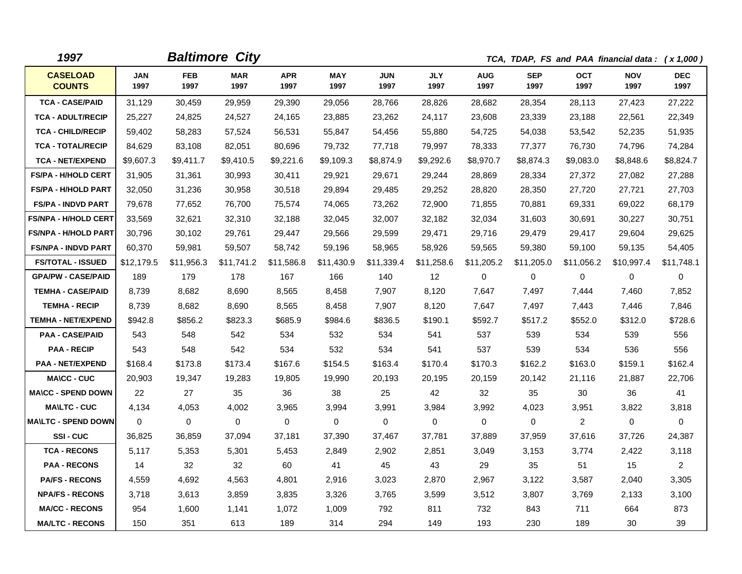| 1997                             |                    |                    | <b>Baltimore City</b> |                    |                    |                    |                    |                    |                    | TCA, TDAP, FS and PAA financial data: (x 1,000) |                    |                    |
|----------------------------------|--------------------|--------------------|-----------------------|--------------------|--------------------|--------------------|--------------------|--------------------|--------------------|-------------------------------------------------|--------------------|--------------------|
| <b>CASELOAD</b><br><b>COUNTS</b> | <b>JAN</b><br>1997 | <b>FEB</b><br>1997 | <b>MAR</b><br>1997    | <b>APR</b><br>1997 | <b>MAY</b><br>1997 | <b>JUN</b><br>1997 | <b>JLY</b><br>1997 | <b>AUG</b><br>1997 | <b>SEP</b><br>1997 | <b>OCT</b><br>1997                              | <b>NOV</b><br>1997 | <b>DEC</b><br>1997 |
| <b>TCA - CASE/PAID</b>           | 31,129             | 30,459             | 29,959                | 29,390             | 29,056             | 28,766             | 28,826             | 28,682             | 28,354             | 28,113                                          | 27,423             | 27,222             |
| <b>TCA - ADULT/RECIP</b>         | 25,227             | 24,825             | 24,527                | 24,165             | 23,885             | 23,262             | 24,117             | 23,608             | 23,339             | 23,188                                          | 22,561             | 22,349             |
| <b>TCA - CHILD/RECIP</b>         | 59,402             | 58,283             | 57,524                | 56,531             | 55,847             | 54,456             | 55,880             | 54,725             | 54,038             | 53,542                                          | 52,235             | 51,935             |
| <b>TCA - TOTAL/RECIP</b>         | 84,629             | 83,108             | 82,051                | 80,696             | 79,732             | 77,718             | 79,997             | 78,333             | 77,377             | 76,730                                          | 74,796             | 74,284             |
| <b>TCA - NET/EXPEND</b>          | \$9,607.3          | \$9,411.7          | \$9,410.5             | \$9,221.6          | \$9,109.3          | \$8,874.9          | \$9,292.6          | \$8,970.7          | \$8,874.3          | \$9,083.0                                       | \$8,848.6          | \$8,824.7          |
| <b>FS/PA - H/HOLD CERT</b>       | 31,905             | 31,361             | 30,993                | 30,411             | 29,921             | 29,671             | 29,244             | 28,869             | 28,334             | 27,372                                          | 27,082             | 27,288             |
| <b>FS/PA - H/HOLD PART</b>       | 32,050             | 31,236             | 30,958                | 30,518             | 29,894             | 29,485             | 29,252             | 28,820             | 28,350             | 27,720                                          | 27,721             | 27,703             |
| <b>FS/PA - INDVD PART</b>        | 79,678             | 77,652             | 76,700                | 75,574             | 74,065             | 73,262             | 72,900             | 71,855             | 70,881             | 69,331                                          | 69,022             | 68,179             |
| <b>FS/NPA - H/HOLD CERT</b>      | 33,569             | 32,621             | 32,310                | 32,188             | 32,045             | 32,007             | 32,182             | 32,034             | 31,603             | 30,691                                          | 30,227             | 30,751             |
| <b>FS/NPA - H/HOLD PART</b>      | 30,796             | 30,102             | 29,761                | 29,447             | 29,566             | 29,599             | 29,471             | 29,716             | 29,479             | 29,417                                          | 29,604             | 29,625             |
| <b>FS/NPA - INDVD PART</b>       | 60,370             | 59,981             | 59,507                | 58,742             | 59,196             | 58,965             | 58,926             | 59,565             | 59,380             | 59,100                                          | 59,135             | 54,405             |
| <b>FS/TOTAL - ISSUED</b>         | \$12,179.5         | \$11,956.3         | \$11,741.2            | \$11,586.8         | \$11,430.9         | \$11,339.4         | \$11,258.6         | \$11,205.2         | \$11,205.0         | \$11,056.2                                      | \$10,997.4         | \$11,748.1         |
| <b>GPA/PW - CASE/PAID</b>        | 189                | 179                | 178                   | 167                | 166                | 140                | 12                 | $\mathbf 0$        | $\Omega$           | $\mathbf 0$                                     | 0                  | 0                  |
| <b>TEMHA - CASE/PAID</b>         | 8,739              | 8,682              | 8,690                 | 8,565              | 8,458              | 7,907              | 8,120              | 7,647              | 7,497              | 7,444                                           | 7,460              | 7,852              |
| <b>TEMHA - RECIP</b>             | 8,739              | 8,682              | 8,690                 | 8,565              | 8,458              | 7,907              | 8,120              | 7,647              | 7.497              | 7,443                                           | 7,446              | 7,846              |
| <b>TEMHA - NET/EXPEND</b>        | \$942.8            | \$856.2            | \$823.3               | \$685.9            | \$984.6            | \$836.5            | \$190.1            | \$592.7            | \$517.2            | \$552.0                                         | \$312.0            | \$728.6            |
| <b>PAA - CASE/PAID</b>           | 543                | 548                | 542                   | 534                | 532                | 534                | 541                | 537                | 539                | 534                                             | 539                | 556                |
| <b>PAA - RECIP</b>               | 543                | 548                | 542                   | 534                | 532                | 534                | 541                | 537                | 539                | 534                                             | 536                | 556                |
| <b>PAA - NET/EXPEND</b>          | \$168.4            | \$173.8            | \$173.4               | \$167.6            | \$154.5            | \$163.4            | \$170.4            | \$170.3            | \$162.2            | \$163.0                                         | \$159.1            | \$162.4            |
| <b>MA\CC - CUC</b>               | 20.903             | 19,347             | 19,283                | 19,805             | 19,990             | 20.193             | 20,195             | 20,159             | 20.142             | 21.116                                          | 21,887             | 22,706             |
| <b>MA\CC - SPEND DOWN</b>        | 22                 | 27                 | 35                    | 36                 | 38                 | 25                 | 42                 | 32                 | 35                 | 30                                              | 36                 | 41                 |
| <b>MA\LTC - CUC</b>              | 4,134              | 4,053              | 4,002                 | 3,965              | 3,994              | 3,991              | 3,984              | 3,992              | 4,023              | 3,951                                           | 3,822              | 3,818              |
| <b>MAILTC - SPEND DOWN</b>       | $\Omega$           | 0                  | 0                     | 0                  | 0                  | 0                  | 0                  | 0                  | $\Omega$           | $\overline{2}$                                  | 0                  | 0                  |
| <b>SSI-CUC</b>                   | 36,825             | 36,859             | 37,094                | 37,181             | 37,390             | 37,467             | 37,781             | 37,889             | 37,959             | 37,616                                          | 37,726             | 24,387             |
| <b>TCA - RECONS</b>              | 5,117              | 5,353              | 5,301                 | 5,453              | 2,849              | 2,902              | 2,851              | 3,049              | 3,153              | 3,774                                           | 2,422              | 3,118              |
| <b>PAA - RECONS</b>              | 14                 | 32                 | 32                    | 60                 | 41                 | 45                 | 43                 | 29                 | 35                 | 51                                              | 15                 | $\overline{2}$     |
| <b>PA/FS - RECONS</b>            | 4,559              | 4,692              | 4,563                 | 4,801              | 2,916              | 3,023              | 2,870              | 2,967              | 3,122              | 3,587                                           | 2,040              | 3,305              |
| <b>NPA/FS - RECONS</b>           | 3,718              | 3,613              | 3,859                 | 3,835              | 3,326              | 3,765              | 3,599              | 3,512              | 3,807              | 3,769                                           | 2,133              | 3,100              |
| <b>MA/CC - RECONS</b>            | 954                | 1,600              | 1,141                 | 1,072              | 1,009              | 792                | 811                | 732                | 843                | 711                                             | 664                | 873                |
| <b>MA/LTC - RECONS</b>           | 150                | 351                | 613                   | 189                | 314                | 294                | 149                | 193                | 230                | 189                                             | 30                 | 39                 |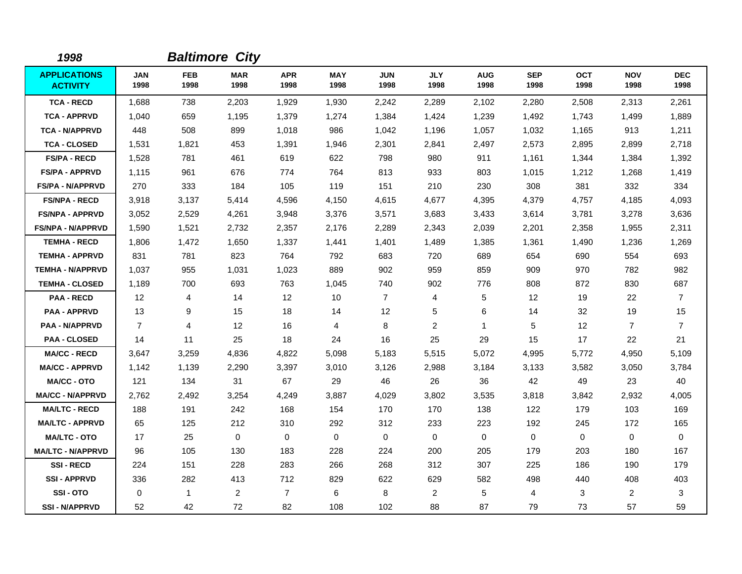| 1998                                   |                    |                    | <b>Baltimore City</b> |                    |                    |                    |                    |                    |                    |                    |                    |                    |
|----------------------------------------|--------------------|--------------------|-----------------------|--------------------|--------------------|--------------------|--------------------|--------------------|--------------------|--------------------|--------------------|--------------------|
| <b>APPLICATIONS</b><br><b>ACTIVITY</b> | <b>JAN</b><br>1998 | <b>FEB</b><br>1998 | <b>MAR</b><br>1998    | <b>APR</b><br>1998 | <b>MAY</b><br>1998 | <b>JUN</b><br>1998 | <b>JLY</b><br>1998 | <b>AUG</b><br>1998 | <b>SEP</b><br>1998 | <b>OCT</b><br>1998 | <b>NOV</b><br>1998 | <b>DEC</b><br>1998 |
| <b>TCA - RECD</b>                      | 1,688              | 738                | 2,203                 | 1,929              | 1,930              | 2,242              | 2,289              | 2,102              | 2,280              | 2,508              | 2,313              | 2,261              |
| <b>TCA - APPRVD</b>                    | 1,040              | 659                | 1,195                 | 1,379              | 1,274              | 1,384              | 1,424              | 1,239              | 1,492              | 1.743              | 1,499              | 1,889              |
| <b>TCA - N/APPRVD</b>                  | 448                | 508                | 899                   | 1,018              | 986                | 1,042              | 1,196              | 1,057              | 1,032              | 1,165              | 913                | 1,211              |
| <b>TCA - CLOSED</b>                    | 1,531              | 1,821              | 453                   | 1,391              | 1,946              | 2,301              | 2,841              | 2,497              | 2,573              | 2,895              | 2,899              | 2,718              |
| <b>FS/PA - RECD</b>                    | 1,528              | 781                | 461                   | 619                | 622                | 798                | 980                | 911                | 1,161              | 1,344              | 1,384              | 1,392              |
| <b>FS/PA - APPRVD</b>                  | 1,115              | 961                | 676                   | 774                | 764                | 813                | 933                | 803                | 1,015              | 1,212              | 1,268              | 1,419              |
| <b>FS/PA - N/APPRVD</b>                | 270                | 333                | 184                   | 105                | 119                | 151                | 210                | 230                | 308                | 381                | 332                | 334                |
| <b>FS/NPA - RECD</b>                   | 3,918              | 3,137              | 5,414                 | 4,596              | 4,150              | 4,615              | 4,677              | 4,395              | 4,379              | 4,757              | 4,185              | 4,093              |
| <b>FS/NPA - APPRVD</b>                 | 3,052              | 2,529              | 4,261                 | 3,948              | 3,376              | 3,571              | 3,683              | 3,433              | 3,614              | 3,781              | 3,278              | 3,636              |
| <b>FS/NPA - N/APPRVD</b>               | 1,590              | 1,521              | 2,732                 | 2,357              | 2,176              | 2,289              | 2,343              | 2,039              | 2,201              | 2,358              | 1,955              | 2,311              |
| <b>TEMHA - RECD</b>                    | 1,806              | 1,472              | 1,650                 | 1,337              | 1,441              | 1,401              | 1,489              | 1,385              | 1,361              | 1,490              | 1,236              | 1,269              |
| <b>TEMHA - APPRVD</b>                  | 831                | 781                | 823                   | 764                | 792                | 683                | 720                | 689                | 654                | 690                | 554                | 693                |
| <b>TEMHA - N/APPRVD</b>                | 1,037              | 955                | 1,031                 | 1,023              | 889                | 902                | 959                | 859                | 909                | 970                | 782                | 982                |
| <b>TEMHA - CLOSED</b>                  | 1,189              | 700                | 693                   | 763                | 1,045              | 740                | 902                | 776                | 808                | 872                | 830                | 687                |
| <b>PAA - RECD</b>                      | 12                 | 4                  | 14                    | 12                 | 10                 | $\overline{7}$     | 4                  | 5                  | 12                 | 19                 | 22                 | $\overline{7}$     |
| <b>PAA - APPRVD</b>                    | 13                 | 9                  | 15                    | 18                 | 14                 | 12                 | 5                  | 6                  | 14                 | 32                 | 19                 | 15                 |
| <b>PAA - N/APPRVD</b>                  | $\overline{7}$     | 4                  | 12                    | 16                 | 4                  | 8                  | 2                  | 1                  | 5                  | 12                 | $\overline{7}$     | $\overline{7}$     |
| <b>PAA - CLOSED</b>                    | 14                 | 11                 | 25                    | 18                 | 24                 | 16                 | 25                 | 29                 | 15                 | 17                 | 22                 | 21                 |
| <b>MA/CC - RECD</b>                    | 3,647              | 3,259              | 4,836                 | 4,822              | 5,098              | 5,183              | 5,515              | 5,072              | 4,995              | 5,772              | 4,950              | 5,109              |
| <b>MA/CC - APPRVD</b>                  | 1,142              | 1,139              | 2,290                 | 3,397              | 3,010              | 3,126              | 2,988              | 3,184              | 3,133              | 3,582              | 3,050              | 3,784              |
| <b>MA/CC - OTO</b>                     | 121                | 134                | 31                    | 67                 | 29                 | 46                 | 26                 | 36                 | 42                 | 49                 | 23                 | 40                 |
| <b>MA/CC - N/APPRVD</b>                | 2,762              | 2,492              | 3,254                 | 4,249              | 3,887              | 4,029              | 3,802              | 3,535              | 3,818              | 3,842              | 2,932              | 4,005              |
| <b>MA/LTC - RECD</b>                   | 188                | 191                | 242                   | 168                | 154                | 170                | 170                | 138                | 122                | 179                | 103                | 169                |
| <b>MA/LTC - APPRVD</b>                 | 65                 | 125                | 212                   | 310                | 292                | 312                | 233                | 223                | 192                | 245                | 172                | 165                |
| <b>MA/LTC - OTO</b>                    | 17                 | 25                 | 0                     | $\mathbf 0$        | 0                  | 0                  | $\mathbf 0$        | 0                  | 0                  | 0                  | 0                  | 0                  |
| <b>MA/LTC - N/APPRVD</b>               | 96                 | 105                | 130                   | 183                | 228                | 224                | 200                | 205                | 179                | 203                | 180                | 167                |
| <b>SSI-RECD</b>                        | 224                | 151                | 228                   | 283                | 266                | 268                | 312                | 307                | 225                | 186                | 190                | 179                |
| <b>SSI-APPRVD</b>                      | 336                | 282                | 413                   | 712                | 829                | 622                | 629                | 582                | 498                | 440                | 408                | 403                |
| SSI-OTO                                | 0                  | $\mathbf{1}$       | $\overline{c}$        | $\overline{7}$     | 6                  | 8                  | 2                  | 5                  | 4                  | 3                  | $\overline{2}$     | 3                  |
| <b>SSI-N/APPRVD</b>                    | 52                 | 42                 | 72                    | 82                 | 108                | 102                | 88                 | 87                 | 79                 | 73                 | 57                 | 59                 |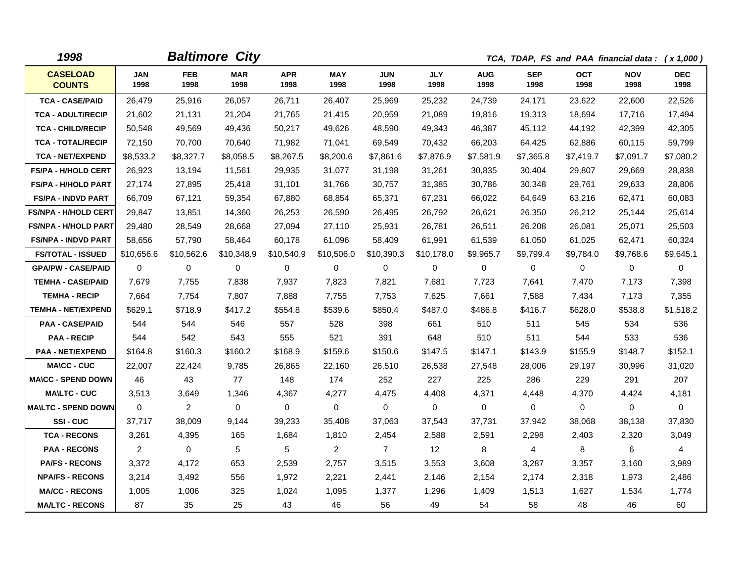| 1998                             |                |                    | <b>Baltimore City</b> |                    |                    |                    |                    |                    |                    | TCA, TDAP, FS and PAA financial data: (x 1,000) |                    |                    |
|----------------------------------|----------------|--------------------|-----------------------|--------------------|--------------------|--------------------|--------------------|--------------------|--------------------|-------------------------------------------------|--------------------|--------------------|
| <b>CASELOAD</b><br><b>COUNTS</b> | JAN<br>1998    | <b>FEB</b><br>1998 | MAR<br>1998           | <b>APR</b><br>1998 | <b>MAY</b><br>1998 | <b>JUN</b><br>1998 | <b>JLY</b><br>1998 | <b>AUG</b><br>1998 | <b>SEP</b><br>1998 | <b>OCT</b><br>1998                              | <b>NOV</b><br>1998 | <b>DEC</b><br>1998 |
| <b>TCA - CASE/PAID</b>           | 26,479         | 25,916             | 26,057                | 26,711             | 26,407             | 25,969             | 25,232             | 24,739             | 24,171             | 23,622                                          | 22,600             | 22,526             |
| <b>TCA - ADULT/RECIP</b>         | 21,602         | 21,131             | 21,204                | 21,765             | 21,415             | 20,959             | 21,089             | 19,816             | 19,313             | 18,694                                          | 17,716             | 17,494             |
| <b>TCA - CHILD/RECIP</b>         | 50,548         | 49,569             | 49,436                | 50,217             | 49,626             | 48,590             | 49,343             | 46,387             | 45,112             | 44,192                                          | 42,399             | 42,305             |
| <b>TCA - TOTAL/RECIP</b>         | 72,150         | 70,700             | 70,640                | 71,982             | 71,041             | 69,549             | 70,432             | 66,203             | 64,425             | 62,886                                          | 60,115             | 59,799             |
| <b>TCA - NET/EXPEND</b>          | \$8,533.2      | \$8,327.7          | \$8,058.5             | \$8,267.5          | \$8,200.6          | \$7,861.6          | \$7,876.9          | \$7,581.9          | \$7,365.8          | \$7,419.7                                       | \$7,091.7          | \$7,080.2          |
| <b>FS/PA - H/HOLD CERT</b>       | 26,923         | 13,194             | 11,561                | 29,935             | 31,077             | 31,198             | 31,261             | 30,835             | 30,404             | 29,807                                          | 29,669             | 28,838             |
| <b>FS/PA - H/HOLD PART</b>       | 27,174         | 27,895             | 25,418                | 31,101             | 31,766             | 30,757             | 31,385             | 30,786             | 30,348             | 29,761                                          | 29,633             | 28,806             |
| <b>FS/PA - INDVD PART</b>        | 66,709         | 67,121             | 59,354                | 67,880             | 68,854             | 65,371             | 67,231             | 66,022             | 64,649             | 63,216                                          | 62,471             | 60,083             |
| <b>FS/NPA - H/HOLD CERT</b>      | 29,847         | 13,851             | 14,360                | 26,253             | 26,590             | 26,495             | 26,792             | 26,621             | 26,350             | 26,212                                          | 25,144             | 25,614             |
| <b>FS/NPA - H/HOLD PART</b>      | 29,480         | 28,549             | 28,668                | 27,094             | 27,110             | 25,931             | 26,781             | 26,511             | 26,208             | 26,081                                          | 25,071             | 25,503             |
| <b>FS/NPA - INDVD PART</b>       | 58,656         | 57,790             | 58,464                | 60,178             | 61,096             | 58,409             | 61,991             | 61,539             | 61,050             | 61,025                                          | 62,471             | 60,324             |
| <b>FS/TOTAL - ISSUED</b>         | \$10,656.6     | \$10,562.6         | \$10,348.9            | \$10,540.9         | \$10,506.0         | \$10,390.3         | \$10,178.0         | \$9,965.7          | \$9,799.4          | \$9,784.0                                       | \$9,768.6          | \$9,645.1          |
| <b>GPA/PW - CASE/PAID</b>        | 0              | 0                  | 0                     | 0                  | 0                  | $\Omega$           | 0                  | 0                  | 0                  | 0                                               | 0                  | 0                  |
| <b>TEMHA - CASE/PAID</b>         | 7,679          | 7,755              | 7,838                 | 7,937              | 7,823              | 7,821              | 7,681              | 7,723              | 7,641              | 7,470                                           | 7,173              | 7,398              |
| <b>TEMHA - RECIP</b>             | 7,664          | 7,754              | 7,807                 | 7,888              | 7,755              | 7,753              | 7,625              | 7,661              | 7,588              | 7,434                                           | 7,173              | 7,355              |
| <b>TEMHA - NET/EXPEND</b>        | \$629.1        | \$718.9            | \$417.2               | \$554.8            | \$539.6            | \$850.4            | \$487.0            | \$486.8            | \$416.7            | \$628.0                                         | \$538.8            | \$1,518.2          |
| <b>PAA - CASE/PAID</b>           | 544            | 544                | 546                   | 557                | 528                | 398                | 661                | 510                | 511                | 545                                             | 534                | 536                |
| <b>PAA - RECIP</b>               | 544            | 542                | 543                   | 555                | 521                | 391                | 648                | 510                | 511                | 544                                             | 533                | 536                |
| <b>PAA - NET/EXPEND</b>          | \$164.8        | \$160.3            | \$160.2               | \$168.9            | \$159.6            | \$150.6            | \$147.5            | \$147.1            | \$143.9            | \$155.9                                         | \$148.7            | \$152.1            |
| <b>MA\CC - CUC</b>               | 22,007         | 22,424             | 9,785                 | 26,865             | 22,160             | 26,510             | 26,538             | 27,548             | 28,006             | 29,197                                          | 30,996             | 31,020             |
| <b>MA\CC - SPEND DOWN</b>        | 46             | 43                 | 77                    | 148                | 174                | 252                | 227                | 225                | 286                | 229                                             | 291                | 207                |
| <b>MA\LTC - CUC</b>              | 3,513          | 3,649              | 1,346                 | 4,367              | 4,277              | 4,475              | 4,408              | 4,371              | 4,448              | 4,370                                           | 4,424              | 4,181              |
| <b>MAILTC - SPEND DOWN</b>       | $\mathbf{0}$   | 2                  | 0                     | $\mathbf{0}$       | 0                  | 0                  | $\mathbf 0$        | $\mathbf 0$        | $\mathbf{0}$       | $\mathbf 0$                                     | $\mathbf 0$        | $\mathbf 0$        |
| SSI-CUC                          | 37,717         | 38,009             | 9,144                 | 39,233             | 35,408             | 37,063             | 37,543             | 37,731             | 37,942             | 38,068                                          | 38,138             | 37,830             |
| <b>TCA - RECONS</b>              | 3,261          | 4,395              | 165                   | 1,684              | 1,810              | 2,454              | 2,588              | 2,591              | 2,298              | 2,403                                           | 2,320              | 3,049              |
| <b>PAA - RECONS</b>              | $\overline{2}$ | $\mathbf 0$        | 5                     | 5                  | $\overline{2}$     | $\overline{7}$     | 12                 | 8                  | 4                  | 8                                               | 6                  | 4                  |
| <b>PA/FS - RECONS</b>            | 3,372          | 4,172              | 653                   | 2,539              | 2,757              | 3,515              | 3,553              | 3,608              | 3,287              | 3,357                                           | 3,160              | 3,989              |
| <b>NPA/FS - RECONS</b>           | 3,214          | 3,492              | 556                   | 1,972              | 2,221              | 2,441              | 2,146              | 2,154              | 2,174              | 2,318                                           | 1,973              | 2,486              |
| <b>MA/CC - RECONS</b>            | 1,005          | 1,006              | 325                   | 1,024              | 1,095              | 1,377              | 1,296              | 1,409              | 1,513              | 1,627                                           | 1,534              | 1,774              |
| <b>MA/LTC - RECONS</b>           | 87             | 35                 | 25                    | 43                 | 46                 | 56                 | 49                 | 54                 | 58                 | 48                                              | 46                 | 60                 |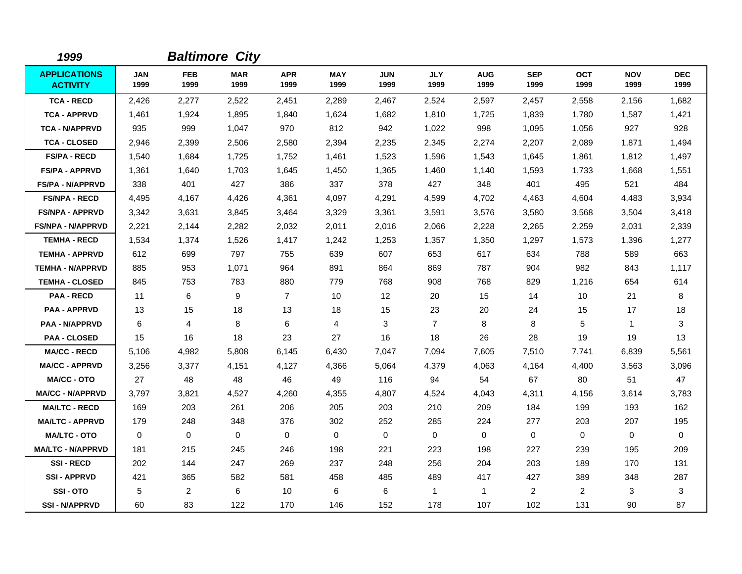| 1999                                   |                    |                    | <b>Baltimore City</b> |                    |                    |                    |                    |                    |                    |                    |                    |                    |
|----------------------------------------|--------------------|--------------------|-----------------------|--------------------|--------------------|--------------------|--------------------|--------------------|--------------------|--------------------|--------------------|--------------------|
| <b>APPLICATIONS</b><br><b>ACTIVITY</b> | <b>JAN</b><br>1999 | <b>FEB</b><br>1999 | <b>MAR</b><br>1999    | <b>APR</b><br>1999 | <b>MAY</b><br>1999 | <b>JUN</b><br>1999 | <b>JLY</b><br>1999 | <b>AUG</b><br>1999 | <b>SEP</b><br>1999 | <b>OCT</b><br>1999 | <b>NOV</b><br>1999 | <b>DEC</b><br>1999 |
| <b>TCA - RECD</b>                      | 2,426              | 2,277              | 2,522                 | 2,451              | 2,289              | 2,467              | 2,524              | 2,597              | 2,457              | 2,558              | 2,156              | 1,682              |
| <b>TCA - APPRVD</b>                    | 1,461              | 1,924              | 1,895                 | 1,840              | 1,624              | 1,682              | 1,810              | 1,725              | 1,839              | 1,780              | 1,587              | 1,421              |
| <b>TCA - N/APPRVD</b>                  | 935                | 999                | 1,047                 | 970                | 812                | 942                | 1,022              | 998                | 1,095              | 1,056              | 927                | 928                |
| <b>TCA - CLOSED</b>                    | 2,946              | 2,399              | 2,506                 | 2,580              | 2,394              | 2,235              | 2,345              | 2,274              | 2,207              | 2,089              | 1,871              | 1,494              |
| <b>FS/PA - RECD</b>                    | 1,540              | 1.684              | 1,725                 | 1,752              | 1,461              | 1,523              | 1,596              | 1,543              | 1,645              | 1,861              | 1,812              | 1,497              |
| <b>FS/PA - APPRVD</b>                  | 1,361              | 1,640              | 1,703                 | 1,645              | 1,450              | 1,365              | 1,460              | 1,140              | 1,593              | 1,733              | 1,668              | 1,551              |
| <b>FS/PA - N/APPRVD</b>                | 338                | 401                | 427                   | 386                | 337                | 378                | 427                | 348                | 401                | 495                | 521                | 484                |
| <b>FS/NPA - RECD</b>                   | 4,495              | 4.167              | 4,426                 | 4,361              | 4,097              | 4,291              | 4,599              | 4,702              | 4,463              | 4,604              | 4,483              | 3,934              |
| <b>FS/NPA - APPRVD</b>                 | 3,342              | 3,631              | 3,845                 | 3,464              | 3,329              | 3,361              | 3,591              | 3,576              | 3,580              | 3,568              | 3,504              | 3,418              |
| <b>FS/NPA - N/APPRVD</b>               | 2,221              | 2,144              | 2,282                 | 2,032              | 2,011              | 2,016              | 2,066              | 2,228              | 2,265              | 2,259              | 2,031              | 2,339              |
| <b>TEMHA - RECD</b>                    | 1,534              | 1.374              | 1,526                 | 1,417              | 1,242              | 1,253              | 1,357              | 1,350              | 1,297              | 1,573              | 1,396              | 1,277              |
| <b>TEMHA - APPRVD</b>                  | 612                | 699                | 797                   | 755                | 639                | 607                | 653                | 617                | 634                | 788                | 589                | 663                |
| <b>TEMHA - N/APPRVD</b>                | 885                | 953                | 1,071                 | 964                | 891                | 864                | 869                | 787                | 904                | 982                | 843                | 1,117              |
| <b>TEMHA - CLOSED</b>                  | 845                | 753                | 783                   | 880                | 779                | 768                | 908                | 768                | 829                | 1,216              | 654                | 614                |
| <b>PAA - RECD</b>                      | 11                 | 6                  | 9                     | $\overline{7}$     | 10                 | 12                 | 20                 | 15                 | 14                 | 10                 | 21                 | 8                  |
| <b>PAA - APPRVD</b>                    | 13                 | 15                 | 18                    | 13                 | 18                 | 15                 | 23                 | 20                 | 24                 | 15                 | 17                 | 18                 |
| <b>PAA - N/APPRVD</b>                  | 6                  | 4                  | 8                     | 6                  | 4                  | 3                  | $\overline{7}$     | 8                  | 8                  | 5                  | $\mathbf{1}$       | 3                  |
| <b>PAA - CLOSED</b>                    | 15                 | 16                 | 18                    | 23                 | 27                 | 16                 | 18                 | 26                 | 28                 | 19                 | 19                 | 13                 |
| <b>MA/CC - RECD</b>                    | 5,106              | 4,982              | 5,808                 | 6,145              | 6,430              | 7,047              | 7,094              | 7,605              | 7,510              | 7,741              | 6,839              | 5,561              |
| <b>MA/CC - APPRVD</b>                  | 3,256              | 3,377              | 4,151                 | 4,127              | 4,366              | 5,064              | 4,379              | 4,063              | 4,164              | 4,400              | 3,563              | 3,096              |
| <b>MA/CC - OTO</b>                     | 27                 | 48                 | 48                    | 46                 | 49                 | 116                | 94                 | 54                 | 67                 | 80                 | 51                 | 47                 |
| <b>MA/CC - N/APPRVD</b>                | 3,797              | 3,821              | 4,527                 | 4,260              | 4,355              | 4,807              | 4,524              | 4,043              | 4,311              | 4,156              | 3,614              | 3,783              |
| <b>MA/LTC - RECD</b>                   | 169                | 203                | 261                   | 206                | 205                | 203                | 210                | 209                | 184                | 199                | 193                | 162                |
| <b>MA/LTC - APPRVD</b>                 | 179                | 248                | 348                   | 376                | 302                | 252                | 285                | 224                | 277                | 203                | 207                | 195                |
| <b>MA/LTC - OTO</b>                    | $\mathbf 0$        | $\mathbf 0$        | $\mathbf 0$           | $\mathbf 0$        | $\mathbf 0$        | $\mathbf 0$        | $\mathbf 0$        | 0                  | $\mathbf 0$        | $\mathbf 0$        | $\mathbf 0$        | $\mathbf 0$        |
| <b>MA/LTC - N/APPRVD</b>               | 181                | 215                | 245                   | 246                | 198                | 221                | 223                | 198                | 227                | 239                | 195                | 209                |
| <b>SSI-RECD</b>                        | 202                | 144                | 247                   | 269                | 237                | 248                | 256                | 204                | 203                | 189                | 170                | 131                |
| <b>SSI-APPRVD</b>                      | 421                | 365                | 582                   | 581                | 458                | 485                | 489                | 417                | 427                | 389                | 348                | 287                |
| SSI-OTO                                | 5                  | $\overline{2}$     | 6                     | 10                 | 6                  | 6                  | 1                  | 1                  | $\overline{2}$     | 2                  | 3                  | 3                  |
| <b>SSI-N/APPRVD</b>                    | 60                 | 83                 | 122                   | 170                | 146                | 152                | 178                | 107                | 102                | 131                | 90                 | 87                 |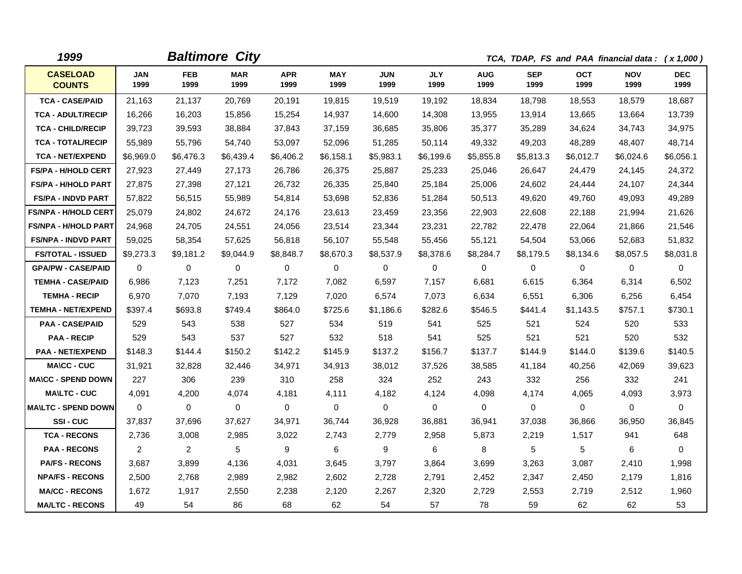| 1999                             |                    |                    | <b>Baltimore City</b> |                    |                    |                    |                    |                    |                    | TCA, TDAP, FS and PAA financial data: (x 1,000) |                    |                    |
|----------------------------------|--------------------|--------------------|-----------------------|--------------------|--------------------|--------------------|--------------------|--------------------|--------------------|-------------------------------------------------|--------------------|--------------------|
| <b>CASELOAD</b><br><b>COUNTS</b> | <b>JAN</b><br>1999 | <b>FEB</b><br>1999 | <b>MAR</b><br>1999    | <b>APR</b><br>1999 | <b>MAY</b><br>1999 | <b>JUN</b><br>1999 | <b>JLY</b><br>1999 | <b>AUG</b><br>1999 | <b>SEP</b><br>1999 | <b>OCT</b><br>1999                              | <b>NOV</b><br>1999 | <b>DEC</b><br>1999 |
| <b>TCA - CASE/PAID</b>           | 21,163             | 21,137             | 20,769                | 20,191             | 19,815             | 19,519             | 19,192             | 18,834             | 18,798             | 18,553                                          | 18,579             | 18,687             |
| <b>TCA - ADULT/RECIP</b>         | 16,266             | 16,203             | 15,856                | 15,254             | 14,937             | 14.600             | 14,308             | 13,955             | 13.914             | 13.665                                          | 13,664             | 13,739             |
| <b>TCA - CHILD/RECIP</b>         | 39,723             | 39,593             | 38,884                | 37,843             | 37,159             | 36,685             | 35,806             | 35,377             | 35,289             | 34,624                                          | 34,743             | 34,975             |
| <b>TCA - TOTAL/RECIP</b>         | 55,989             | 55,796             | 54,740                | 53,097             | 52,096             | 51,285             | 50,114             | 49,332             | 49,203             | 48,289                                          | 48,407             | 48,714             |
| <b>TCA - NET/EXPEND</b>          | \$6,969.0          | \$6,476.3          | \$6,439.4             | \$6,406.2          | \$6,158.1          | \$5,983.1          | \$6,199.6          | \$5,855.8          | \$5,813.3          | \$6,012.7                                       | \$6,024.6          | \$6,056.1          |
| <b>FS/PA - H/HOLD CERT</b>       | 27,923             | 27,449             | 27,173                | 26,786             | 26,375             | 25,887             | 25,233             | 25,046             | 26,647             | 24,479                                          | 24,145             | 24,372             |
| <b>FS/PA - H/HOLD PART</b>       | 27,875             | 27,398             | 27,121                | 26,732             | 26,335             | 25,840             | 25,184             | 25,006             | 24,602             | 24,444                                          | 24,107             | 24,344             |
| <b>FS/PA - INDVD PART</b>        | 57,822             | 56,515             | 55,989                | 54,814             | 53,698             | 52,836             | 51,284             | 50,513             | 49,620             | 49,760                                          | 49,093             | 49,289             |
| <b>FS/NPA - H/HOLD CERT</b>      | 25,079             | 24,802             | 24,672                | 24,176             | 23,613             | 23,459             | 23,356             | 22,903             | 22,608             | 22.188                                          | 21,994             | 21,626             |
| <b>FS/NPA - H/HOLD PART</b>      | 24,968             | 24,705             | 24,551                | 24,056             | 23,514             | 23,344             | 23,231             | 22,782             | 22,478             | 22,064                                          | 21,866             | 21,546             |
| <b>FS/NPA - INDVD PART</b>       | 59,025             | 58,354             | 57,625                | 56,818             | 56,107             | 55,548             | 55,456             | 55,121             | 54,504             | 53,066                                          | 52,683             | 51,832             |
| <b>FS/TOTAL - ISSUED</b>         | \$9,273.3          | \$9,181.2          | \$9,044.9             | \$8,848.7          | \$8,670.3          | \$8,537.9          | \$8,378.6          | \$8,284.7          | \$8,179.5          | \$8,134.6                                       | \$8,057.5          | \$8,031.8          |
| <b>GPA/PW - CASE/PAID</b>        | 0                  | 0                  | 0                     | 0                  | 0                  | 0                  | 0                  | 0                  | 0                  | 0                                               | 0                  | $\mathbf 0$        |
| <b>TEMHA - CASE/PAID</b>         | 6,986              | 7,123              | 7,251                 | 7,172              | 7,082              | 6,597              | 7,157              | 6,681              | 6,615              | 6.364                                           | 6,314              | 6,502              |
| <b>TEMHA - RECIP</b>             | 6,970              | 7,070              | 7,193                 | 7,129              | 7,020              | 6,574              | 7,073              | 6,634              | 6,551              | 6,306                                           | 6,256              | 6,454              |
| <b>TEMHA - NET/EXPEND</b>        | \$397.4            | \$693.8            | \$749.4               | \$864.0            | \$725.6            | \$1,186.6          | \$282.6            | \$546.5            | \$441.4            | \$1,143.5                                       | \$757.1            | \$730.1            |
| <b>PAA - CASE/PAID</b>           | 529                | 543                | 538                   | 527                | 534                | 519                | 541                | 525                | 521                | 524                                             | 520                | 533                |
| <b>PAA - RECIP</b>               | 529                | 543                | 537                   | 527                | 532                | 518                | 541                | 525                | 521                | 521                                             | 520                | 532                |
| <b>PAA - NET/EXPEND</b>          | \$148.3            | \$144.4            | \$150.2               | \$142.2            | \$145.9            | \$137.2            | \$156.7            | \$137.7            | \$144.9            | \$144.0                                         | \$139.6            | \$140.5            |
| <b>MA\CC - CUC</b>               | 31,921             | 32,828             | 32,446                | 34,971             | 34,913             | 38,012             | 37,526             | 38,585             | 41,184             | 40,256                                          | 42,069             | 39,623             |
| <b>MA\CC - SPEND DOWN</b>        | 227                | 306                | 239                   | 310                | 258                | 324                | 252                | 243                | 332                | 256                                             | 332                | 241                |
| <b>MAILTC - CUC</b>              | 4,091              | 4,200              | 4,074                 | 4,181              | 4,111              | 4,182              | 4,124              | 4,098              | 4,174              | 4,065                                           | 4,093              | 3,973              |
| <b>MAILTC - SPEND DOWN</b>       | $\mathbf{0}$       | $\mathbf 0$        | 0                     | $\mathbf 0$        | 0                  | 0                  | $\mathbf 0$        | 0                  | 0                  | 0                                               | 0                  | 0                  |
| SSI-CUC                          | 37,837             | 37,696             | 37,627                | 34,971             | 36,744             | 36,928             | 36,881             | 36,941             | 37,038             | 36,866                                          | 36,950             | 36,845             |
| <b>TCA - RECONS</b>              | 2,736              | 3,008              | 2,985                 | 3,022              | 2,743              | 2,779              | 2,958              | 5,873              | 2,219              | 1,517                                           | 941                | 648                |
| <b>PAA - RECONS</b>              | $\overline{2}$     | $\overline{2}$     | 5                     | 9                  | 6                  | 9                  | 6                  | 8                  | 5                  | 5                                               | 6                  | $\Omega$           |
| <b>PA/FS - RECONS</b>            | 3,687              | 3,899              | 4,136                 | 4,031              | 3,645              | 3,797              | 3,864              | 3,699              | 3,263              | 3,087                                           | 2,410              | 1,998              |
| <b>NPA/FS - RECONS</b>           | 2,500              | 2,768              | 2,989                 | 2,982              | 2,602              | 2,728              | 2,791              | 2,452              | 2,347              | 2,450                                           | 2,179              | 1,816              |
| <b>MA/CC - RECONS</b>            | 1,672              | 1,917              | 2,550                 | 2,238              | 2,120              | 2,267              | 2,320              | 2,729              | 2,553              | 2,719                                           | 2,512              | 1,960              |
| <b>MA/LTC - RECONS</b>           | 49                 | 54                 | 86                    | 68                 | 62                 | 54                 | 57                 | 78                 | 59                 | 62                                              | 62                 | 53                 |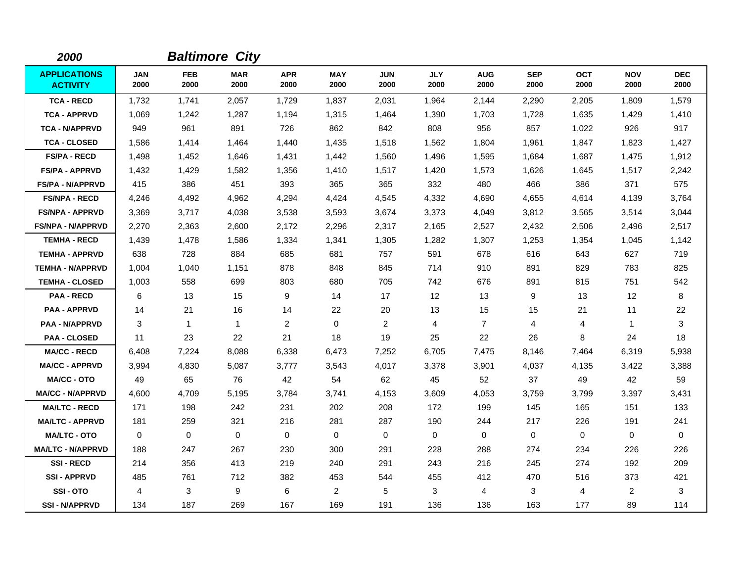| 2000                                   |                    |                    | <b>Baltimore City</b> |                    |                    |                    |                    |                    |                    |                    |                    |                    |
|----------------------------------------|--------------------|--------------------|-----------------------|--------------------|--------------------|--------------------|--------------------|--------------------|--------------------|--------------------|--------------------|--------------------|
| <b>APPLICATIONS</b><br><b>ACTIVITY</b> | <b>JAN</b><br>2000 | <b>FEB</b><br>2000 | <b>MAR</b><br>2000    | <b>APR</b><br>2000 | <b>MAY</b><br>2000 | <b>JUN</b><br>2000 | <b>JLY</b><br>2000 | <b>AUG</b><br>2000 | <b>SEP</b><br>2000 | <b>OCT</b><br>2000 | <b>NOV</b><br>2000 | <b>DEC</b><br>2000 |
| <b>TCA - RECD</b>                      | 1,732              | 1,741              | 2,057                 | 1,729              | 1,837              | 2,031              | 1,964              | 2,144              | 2,290              | 2,205              | 1,809              | 1,579              |
| <b>TCA - APPRVD</b>                    | 1,069              | 1,242              | 1,287                 | 1,194              | 1,315              | 1,464              | 1,390              | 1,703              | 1,728              | 1,635              | 1,429              | 1,410              |
| <b>TCA - N/APPRVD</b>                  | 949                | 961                | 891                   | 726                | 862                | 842                | 808                | 956                | 857                | 1,022              | 926                | 917                |
| <b>TCA - CLOSED</b>                    | 1,586              | 1,414              | 1,464                 | 1,440              | 1,435              | 1,518              | 1,562              | 1,804              | 1,961              | 1,847              | 1,823              | 1,427              |
| <b>FS/PA - RECD</b>                    | 1,498              | 1,452              | 1,646                 | 1,431              | 1,442              | 1,560              | 1,496              | 1,595              | 1,684              | 1.687              | 1,475              | 1,912              |
| <b>FS/PA - APPRVD</b>                  | 1,432              | 1,429              | 1,582                 | 1,356              | 1,410              | 1,517              | 1,420              | 1,573              | 1,626              | 1,645              | 1,517              | 2,242              |
| <b>FS/PA - N/APPRVD</b>                | 415                | 386                | 451                   | 393                | 365                | 365                | 332                | 480                | 466                | 386                | 371                | 575                |
| <b>FS/NPA - RECD</b>                   | 4,246              | 4,492              | 4,962                 | 4,294              | 4,424              | 4,545              | 4,332              | 4,690              | 4,655              | 4,614              | 4,139              | 3,764              |
| <b>FS/NPA - APPRVD</b>                 | 3,369              | 3,717              | 4,038                 | 3,538              | 3,593              | 3,674              | 3,373              | 4,049              | 3,812              | 3,565              | 3,514              | 3,044              |
| <b>FS/NPA - N/APPRVD</b>               | 2,270              | 2,363              | 2,600                 | 2,172              | 2,296              | 2,317              | 2,165              | 2,527              | 2,432              | 2,506              | 2,496              | 2,517              |
| <b>TEMHA - RECD</b>                    | 1,439              | 1,478              | 1,586                 | 1,334              | 1,341              | 1,305              | 1,282              | 1,307              | 1,253              | 1,354              | 1,045              | 1,142              |
| <b>TEMHA - APPRVD</b>                  | 638                | 728                | 884                   | 685                | 681                | 757                | 591                | 678                | 616                | 643                | 627                | 719                |
| <b>TEMHA - N/APPRVD</b>                | 1,004              | 1,040              | 1,151                 | 878                | 848                | 845                | 714                | 910                | 891                | 829                | 783                | 825                |
| <b>TEMHA - CLOSED</b>                  | 1,003              | 558                | 699                   | 803                | 680                | 705                | 742                | 676                | 891                | 815                | 751                | 542                |
| <b>PAA - RECD</b>                      | 6                  | 13                 | 15                    | 9                  | 14                 | 17                 | 12                 | 13                 | 9                  | 13                 | 12                 | 8                  |
| <b>PAA - APPRVD</b>                    | 14                 | 21                 | 16                    | 14                 | 22                 | 20                 | 13                 | 15                 | 15                 | 21                 | 11                 | 22                 |
| <b>PAA - N/APPRVD</b>                  | 3                  | $\mathbf{1}$       | $\mathbf{1}$          | $\overline{2}$     | $\mathbf 0$        | $\overline{2}$     | 4                  | $\overline{7}$     | $\overline{4}$     | 4                  | $\mathbf{1}$       | 3                  |
| <b>PAA - CLOSED</b>                    | 11                 | 23                 | 22                    | 21                 | 18                 | 19                 | 25                 | 22                 | 26                 | 8                  | 24                 | 18                 |
| <b>MA/CC - RECD</b>                    | 6,408              | 7,224              | 8,088                 | 6,338              | 6,473              | 7,252              | 6,705              | 7,475              | 8,146              | 7,464              | 6,319              | 5,938              |
| <b>MA/CC - APPRVD</b>                  | 3,994              | 4,830              | 5,087                 | 3,777              | 3,543              | 4,017              | 3,378              | 3,901              | 4,037              | 4,135              | 3,422              | 3,388              |
| <b>MA/CC - OTO</b>                     | 49                 | 65                 | 76                    | 42                 | 54                 | 62                 | 45                 | 52                 | 37                 | 49                 | 42                 | 59                 |
| <b>MA/CC - N/APPRVD</b>                | 4,600              | 4,709              | 5,195                 | 3,784              | 3,741              | 4,153              | 3,609              | 4,053              | 3,759              | 3,799              | 3,397              | 3,431              |
| <b>MA/LTC - RECD</b>                   | 171                | 198                | 242                   | 231                | 202                | 208                | 172                | 199                | 145                | 165                | 151                | 133                |
| <b>MA/LTC - APPRVD</b>                 | 181                | 259                | 321                   | 216                | 281                | 287                | 190                | 244                | 217                | 226                | 191                | 241                |
| <b>MA/LTC - OTO</b>                    | $\mathbf 0$        | 0                  | $\mathbf 0$           | $\mathbf 0$        | $\mathbf 0$        | $\mathbf 0$        | $\mathbf 0$        | 0                  | $\mathbf 0$        | $\mathbf 0$        | 0                  | $\mathbf 0$        |
| <b>MA/LTC - N/APPRVD</b>               | 188                | 247                | 267                   | 230                | 300                | 291                | 228                | 288                | 274                | 234                | 226                | 226                |
| <b>SSI-RECD</b>                        | 214                | 356                | 413                   | 219                | 240                | 291                | 243                | 216                | 245                | 274                | 192                | 209                |
| <b>SSI-APPRVD</b>                      | 485                | 761                | 712                   | 382                | 453                | 544                | 455                | 412                | 470                | 516                | 373                | 421                |
| SSI-OTO                                | $\overline{4}$     | 3                  | 9                     | 6                  | $\overline{2}$     | 5                  | 3                  | 4                  | 3                  | 4                  | $\overline{c}$     | 3                  |
| <b>SSI-N/APPRVD</b>                    | 134                | 187                | 269                   | 167                | 169                | 191                | 136                | 136                | 163                | 177                | 89                 | 114                |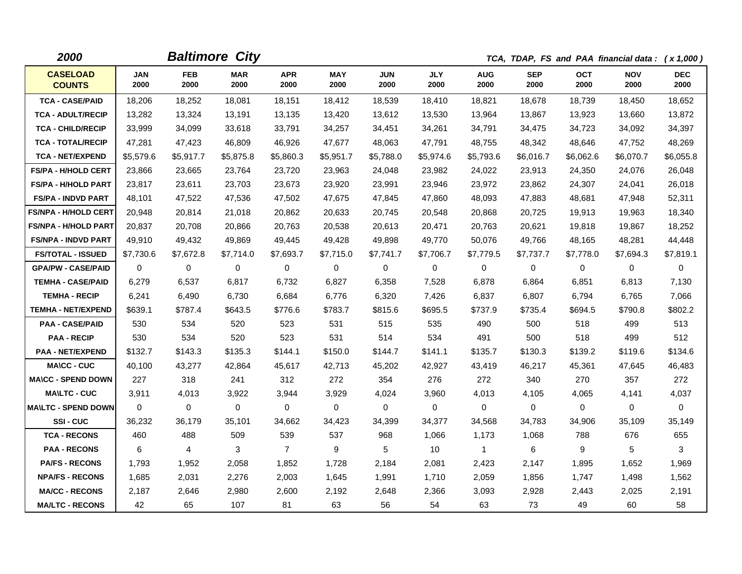| 2000                             |              |                    | <b>Baltimore City</b> |                    |                    |                    |                    |                    |                    | TCA, TDAP, FS and PAA financial data: (x 1,000) |                    |                    |
|----------------------------------|--------------|--------------------|-----------------------|--------------------|--------------------|--------------------|--------------------|--------------------|--------------------|-------------------------------------------------|--------------------|--------------------|
| <b>CASELOAD</b><br><b>COUNTS</b> | JAN<br>2000  | <b>FEB</b><br>2000 | <b>MAR</b><br>2000    | <b>APR</b><br>2000 | <b>MAY</b><br>2000 | <b>JUN</b><br>2000 | <b>JLY</b><br>2000 | <b>AUG</b><br>2000 | <b>SEP</b><br>2000 | <b>OCT</b><br>2000                              | <b>NOV</b><br>2000 | <b>DEC</b><br>2000 |
| <b>TCA - CASE/PAID</b>           | 18,206       | 18,252             | 18,081                | 18,151             | 18,412             | 18,539             | 18,410             | 18,821             | 18,678             | 18,739                                          | 18,450             | 18,652             |
| <b>TCA - ADULT/RECIP</b>         | 13,282       | 13,324             | 13,191                | 13,135             | 13,420             | 13,612             | 13,530             | 13,964             | 13,867             | 13,923                                          | 13,660             | 13,872             |
| <b>TCA - CHILD/RECIP</b>         | 33,999       | 34,099             | 33,618                | 33,791             | 34,257             | 34,451             | 34,261             | 34,791             | 34,475             | 34,723                                          | 34,092             | 34,397             |
| <b>TCA - TOTAL/RECIP</b>         | 47,281       | 47,423             | 46,809                | 46,926             | 47,677             | 48,063             | 47,791             | 48,755             | 48,342             | 48,646                                          | 47,752             | 48,269             |
| <b>TCA - NET/EXPEND</b>          | \$5,579.6    | \$5,917.7          | \$5,875.8             | \$5,860.3          | \$5,951.7          | \$5,788.0          | \$5,974.6          | \$5,793.6          | \$6,016.7          | \$6,062.6                                       | \$6,070.7          | \$6,055.8          |
| <b>FS/PA - H/HOLD CERT</b>       | 23,866       | 23,665             | 23,764                | 23,720             | 23,963             | 24,048             | 23,982             | 24,022             | 23,913             | 24,350                                          | 24,076             | 26,048             |
| <b>FS/PA - H/HOLD PART</b>       | 23,817       | 23,611             | 23,703                | 23,673             | 23,920             | 23,991             | 23,946             | 23,972             | 23,862             | 24,307                                          | 24,041             | 26,018             |
| <b>FS/PA - INDVD PART</b>        | 48,101       | 47,522             | 47,536                | 47,502             | 47,675             | 47,845             | 47,860             | 48,093             | 47,883             | 48,681                                          | 47,948             | 52,311             |
| <b>FS/NPA - H/HOLD CERT</b>      | 20,948       | 20,814             | 21,018                | 20,862             | 20,633             | 20,745             | 20,548             | 20,868             | 20,725             | 19,913                                          | 19,963             | 18,340             |
| <b>FS/NPA - H/HOLD PART</b>      | 20,837       | 20,708             | 20,866                | 20,763             | 20,538             | 20,613             | 20,471             | 20,763             | 20,621             | 19,818                                          | 19,867             | 18,252             |
| <b>FS/NPA - INDVD PART</b>       | 49,910       | 49,432             | 49,869                | 49,445             | 49,428             | 49,898             | 49,770             | 50,076             | 49,766             | 48,165                                          | 48,281             | 44,448             |
| <b>FS/TOTAL - ISSUED</b>         | \$7,730.6    | \$7,672.8          | \$7,714.0             | \$7,693.7          | \$7,715.0          | \$7,741.7          | \$7,706.7          | \$7,779.5          | \$7,737.7          | \$7,778.0                                       | \$7,694.3          | \$7,819.1          |
| <b>GPA/PW - CASE/PAID</b>        | $\mathbf{0}$ | 0                  | 0                     | 0                  | 0                  | 0                  | 0                  | 0                  | 0                  | 0                                               | 0                  | 0                  |
| <b>TEMHA - CASE/PAID</b>         | 6,279        | 6,537              | 6,817                 | 6,732              | 6,827              | 6,358              | 7,528              | 6,878              | 6,864              | 6,851                                           | 6,813              | 7,130              |
| <b>TEMHA - RECIP</b>             | 6,241        | 6,490              | 6,730                 | 6,684              | 6,776              | 6,320              | 7,426              | 6,837              | 6,807              | 6,794                                           | 6,765              | 7,066              |
| <b>TEMHA - NET/EXPEND</b>        | \$639.1      | \$787.4            | \$643.5               | \$776.6            | \$783.7            | \$815.6            | \$695.5            | \$737.9            | \$735.4            | \$694.5                                         | \$790.8            | \$802.2            |
| <b>PAA - CASE/PAID</b>           | 530          | 534                | 520                   | 523                | 531                | 515                | 535                | 490                | 500                | 518                                             | 499                | 513                |
| <b>PAA - RECIP</b>               | 530          | 534                | 520                   | 523                | 531                | 514                | 534                | 491                | 500                | 518                                             | 499                | 512                |
| <b>PAA - NET/EXPEND</b>          | \$132.7      | \$143.3            | \$135.3               | \$144.1            | \$150.0            | \$144.7            | \$141.1            | \$135.7            | \$130.3            | \$139.2                                         | \$119.6            | \$134.6            |
| <b>MA\CC - CUC</b>               | 40,100       | 43,277             | 42,864                | 45,617             | 42,713             | 45,202             | 42,927             | 43,419             | 46,217             | 45,361                                          | 47,645             | 46,483             |
| <b>MAICC - SPEND DOWN</b>        | 227          | 318                | 241                   | 312                | 272                | 354                | 276                | 272                | 340                | 270                                             | 357                | 272                |
| <b>MAILTC - CUC</b>              | 3,911        | 4,013              | 3,922                 | 3,944              | 3,929              | 4,024              | 3,960              | 4,013              | 4,105              | 4,065                                           | 4,141              | 4,037              |
| <b>MAILTC - SPEND DOWN</b>       | $\mathbf{0}$ | $\mathbf 0$        | 0                     | $\mathbf 0$        | 0                  | 0                  | $\mathbf 0$        | 0                  | $\mathbf{0}$       | $\mathbf 0$                                     | $\mathbf 0$        | $\mathbf 0$        |
| SSI-CUC                          | 36,232       | 36,179             | 35,101                | 34,662             | 34,423             | 34,399             | 34,377             | 34,568             | 34,783             | 34,906                                          | 35,109             | 35,149             |
| <b>TCA - RECONS</b>              | 460          | 488                | 509                   | 539                | 537                | 968                | 1,066              | 1,173              | 1,068              | 788                                             | 676                | 655                |
| <b>PAA - RECONS</b>              | 6            | 4                  | 3                     | $\overline{7}$     | 9                  | 5                  | 10                 | $\mathbf{1}$       | 6                  | 9                                               | 5                  | 3                  |
| <b>PA/FS - RECONS</b>            | 1,793        | 1,952              | 2,058                 | 1,852              | 1,728              | 2,184              | 2,081              | 2,423              | 2,147              | 1,895                                           | 1,652              | 1,969              |
| <b>NPA/FS - RECONS</b>           | 1,685        | 2,031              | 2,276                 | 2,003              | 1,645              | 1,991              | 1.710              | 2,059              | 1.856              | 1,747                                           | 1,498              | 1,562              |
| <b>MA/CC - RECONS</b>            | 2,187        | 2,646              | 2,980                 | 2,600              | 2,192              | 2,648              | 2,366              | 3,093              | 2,928              | 2,443                                           | 2,025              | 2,191              |
| <b>MA/LTC - RECONS</b>           | 42           | 65                 | 107                   | 81                 | 63                 | 56                 | 54                 | 63                 | 73                 | 49                                              | 60                 | 58                 |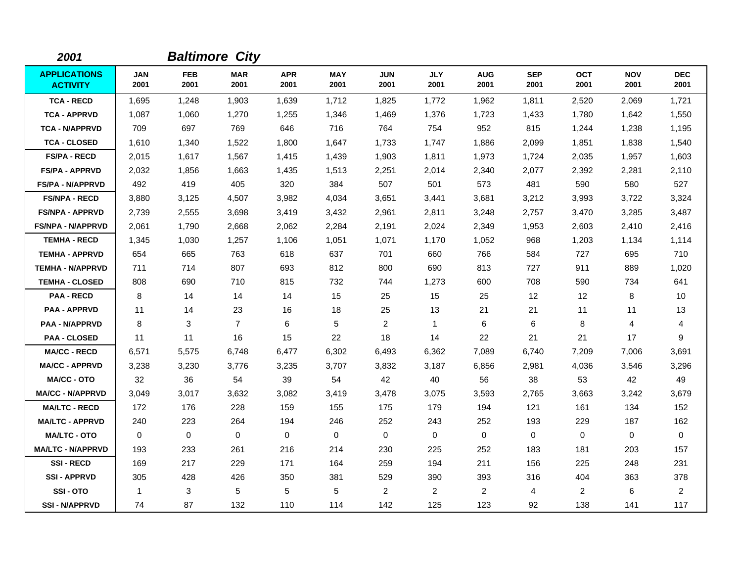| 2001                                   |                    |                    | <b>Baltimore City</b> |                    |                    |                    |                    |                    |                    |                    |                    |                    |
|----------------------------------------|--------------------|--------------------|-----------------------|--------------------|--------------------|--------------------|--------------------|--------------------|--------------------|--------------------|--------------------|--------------------|
| <b>APPLICATIONS</b><br><b>ACTIVITY</b> | <b>JAN</b><br>2001 | <b>FEB</b><br>2001 | <b>MAR</b><br>2001    | <b>APR</b><br>2001 | <b>MAY</b><br>2001 | <b>JUN</b><br>2001 | <b>JLY</b><br>2001 | <b>AUG</b><br>2001 | <b>SEP</b><br>2001 | <b>OCT</b><br>2001 | <b>NOV</b><br>2001 | <b>DEC</b><br>2001 |
| <b>TCA - RECD</b>                      | 1,695              | 1,248              | 1,903                 | 1,639              | 1,712              | 1,825              | 1,772              | 1,962              | 1,811              | 2,520              | 2,069              | 1,721              |
| <b>TCA - APPRVD</b>                    | 1,087              | 1,060              | 1,270                 | 1,255              | 1,346              | 1,469              | 1,376              | 1,723              | 1,433              | 1,780              | 1,642              | 1,550              |
| <b>TCA - N/APPRVD</b>                  | 709                | 697                | 769                   | 646                | 716                | 764                | 754                | 952                | 815                | 1,244              | 1,238              | 1,195              |
| <b>TCA - CLOSED</b>                    | 1,610              | 1,340              | 1,522                 | 1,800              | 1,647              | 1,733              | 1,747              | 1,886              | 2,099              | 1,851              | 1,838              | 1,540              |
| <b>FS/PA - RECD</b>                    | 2,015              | 1,617              | 1,567                 | 1,415              | 1,439              | 1,903              | 1,811              | 1,973              | 1,724              | 2,035              | 1,957              | 1,603              |
| <b>FS/PA - APPRVD</b>                  | 2,032              | 1,856              | 1,663                 | 1,435              | 1,513              | 2,251              | 2,014              | 2,340              | 2,077              | 2,392              | 2,281              | 2,110              |
| <b>FS/PA - N/APPRVD</b>                | 492                | 419                | 405                   | 320                | 384                | 507                | 501                | 573                | 481                | 590                | 580                | 527                |
| <b>FS/NPA - RECD</b>                   | 3,880              | 3,125              | 4,507                 | 3,982              | 4,034              | 3,651              | 3,441              | 3,681              | 3,212              | 3,993              | 3,722              | 3,324              |
| <b>FS/NPA - APPRVD</b>                 | 2,739              | 2,555              | 3,698                 | 3,419              | 3,432              | 2,961              | 2,811              | 3,248              | 2,757              | 3,470              | 3,285              | 3,487              |
| <b>FS/NPA - N/APPRVD</b>               | 2,061              | 1,790              | 2,668                 | 2,062              | 2,284              | 2,191              | 2,024              | 2,349              | 1,953              | 2,603              | 2,410              | 2,416              |
| <b>TEMHA - RECD</b>                    | 1,345              | 1,030              | 1,257                 | 1,106              | 1,051              | 1,071              | 1,170              | 1,052              | 968                | 1,203              | 1,134              | 1,114              |
| <b>TEMHA - APPRVD</b>                  | 654                | 665                | 763                   | 618                | 637                | 701                | 660                | 766                | 584                | 727                | 695                | 710                |
| <b>TEMHA - N/APPRVD</b>                | 711                | 714                | 807                   | 693                | 812                | 800                | 690                | 813                | 727                | 911                | 889                | 1,020              |
| <b>TEMHA - CLOSED</b>                  | 808                | 690                | 710                   | 815                | 732                | 744                | 1,273              | 600                | 708                | 590                | 734                | 641                |
| <b>PAA - RECD</b>                      | 8                  | 14                 | 14                    | 14                 | 15                 | 25                 | 15                 | 25                 | 12                 | $12 \overline{ }$  | 8                  | 10                 |
| <b>PAA - APPRVD</b>                    | 11                 | 14                 | 23                    | 16                 | 18                 | 25                 | 13                 | 21                 | 21                 | 11                 | 11                 | 13                 |
| <b>PAA - N/APPRVD</b>                  | 8                  | 3                  | $\overline{7}$        | 6                  | 5                  | $\overline{c}$     | $\mathbf{1}$       | 6                  | 6                  | 8                  | 4                  | 4                  |
| <b>PAA - CLOSED</b>                    | 11                 | 11                 | 16                    | 15                 | 22                 | 18                 | 14                 | 22                 | 21                 | 21                 | 17                 | 9                  |
| <b>MA/CC - RECD</b>                    | 6,571              | 5,575              | 6,748                 | 6,477              | 6,302              | 6,493              | 6,362              | 7,089              | 6,740              | 7,209              | 7,006              | 3,691              |
| <b>MA/CC - APPRVD</b>                  | 3,238              | 3,230              | 3,776                 | 3,235              | 3,707              | 3,832              | 3,187              | 6,856              | 2,981              | 4,036              | 3,546              | 3,296              |
| <b>MA/CC - OTO</b>                     | 32                 | 36                 | 54                    | 39                 | 54                 | 42                 | 40                 | 56                 | 38                 | 53                 | 42                 | 49                 |
| <b>MA/CC - N/APPRVD</b>                | 3,049              | 3,017              | 3,632                 | 3,082              | 3,419              | 3,478              | 3,075              | 3,593              | 2,765              | 3,663              | 3,242              | 3,679              |
| <b>MA/LTC - RECD</b>                   | 172                | 176                | 228                   | 159                | 155                | 175                | 179                | 194                | 121                | 161                | 134                | 152                |
| <b>MA/LTC - APPRVD</b>                 | 240                | 223                | 264                   | 194                | 246                | 252                | 243                | 252                | 193                | 229                | 187                | 162                |
| <b>MA/LTC - OTO</b>                    | $\mathbf 0$        | 0                  | $\mathbf 0$           | $\mathbf 0$        | $\mathbf 0$        | $\mathbf 0$        | $\mathbf 0$        | 0                  | $\mathbf 0$        | $\mathbf 0$        | 0                  | 0                  |
| <b>MA/LTC - N/APPRVD</b>               | 193                | 233                | 261                   | 216                | 214                | 230                | 225                | 252                | 183                | 181                | 203                | 157                |
| <b>SSI-RECD</b>                        | 169                | 217                | 229                   | 171                | 164                | 259                | 194                | 211                | 156                | 225                | 248                | 231                |
| <b>SSI-APPRVD</b>                      | 305                | 428                | 426                   | 350                | 381                | 529                | 390                | 393                | 316                | 404                | 363                | 378                |
| SSI-OTO                                | $\mathbf 1$        | 3                  | 5                     | 5                  | 5                  | $\overline{c}$     | $\overline{2}$     | $\overline{c}$     | 4                  | $\overline{c}$     | 6                  | $\overline{2}$     |
| <b>SSI-N/APPRVD</b>                    | 74                 | 87                 | 132                   | 110                | 114                | 142                | 125                | 123                | 92                 | 138                | 141                | 117                |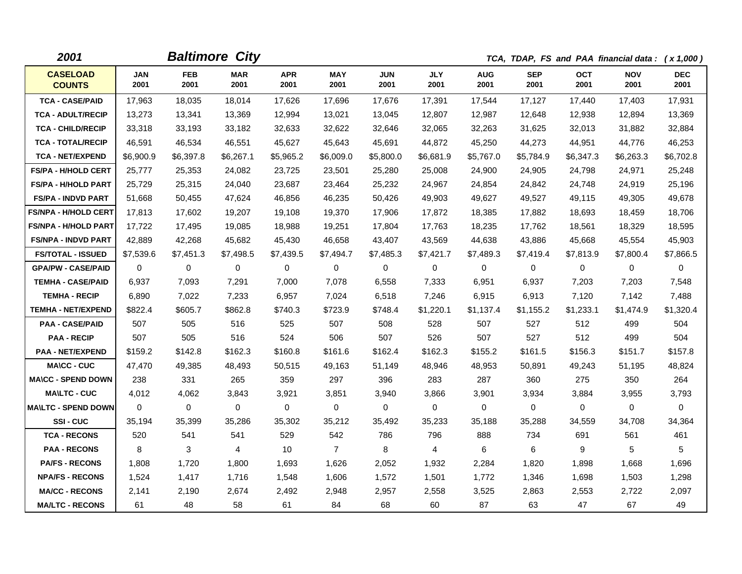| 2001                             |              |                    | <b>Baltimore City</b> |                    |                    |                    |                    |                    |                    | TCA, TDAP, FS and PAA financial data: (x 1,000) |                    |                    |
|----------------------------------|--------------|--------------------|-----------------------|--------------------|--------------------|--------------------|--------------------|--------------------|--------------------|-------------------------------------------------|--------------------|--------------------|
| <b>CASELOAD</b><br><b>COUNTS</b> | JAN<br>2001  | <b>FEB</b><br>2001 | <b>MAR</b><br>2001    | <b>APR</b><br>2001 | <b>MAY</b><br>2001 | <b>JUN</b><br>2001 | <b>JLY</b><br>2001 | <b>AUG</b><br>2001 | <b>SEP</b><br>2001 | <b>OCT</b><br>2001                              | <b>NOV</b><br>2001 | <b>DEC</b><br>2001 |
| <b>TCA - CASE/PAID</b>           | 17,963       | 18,035             | 18,014                | 17,626             | 17,696             | 17,676             | 17,391             | 17,544             | 17,127             | 17,440                                          | 17,403             | 17,931             |
| <b>TCA - ADULT/RECIP</b>         | 13,273       | 13,341             | 13,369                | 12,994             | 13,021             | 13,045             | 12,807             | 12,987             | 12,648             | 12,938                                          | 12,894             | 13,369             |
| <b>TCA - CHILD/RECIP</b>         | 33,318       | 33,193             | 33,182                | 32,633             | 32,622             | 32,646             | 32,065             | 32,263             | 31,625             | 32,013                                          | 31,882             | 32,884             |
| <b>TCA - TOTAL/RECIP</b>         | 46,591       | 46,534             | 46,551                | 45,627             | 45,643             | 45,691             | 44,872             | 45,250             | 44,273             | 44,951                                          | 44,776             | 46,253             |
| <b>TCA - NET/EXPEND</b>          | \$6,900.9    | \$6,397.8          | \$6,267.1             | \$5,965.2          | \$6,009.0          | \$5,800.0          | \$6,681.9          | \$5,767.0          | \$5,784.9          | \$6,347.3                                       | \$6,263.3          | \$6,702.8          |
| <b>FS/PA - H/HOLD CERT</b>       | 25,777       | 25,353             | 24,082                | 23,725             | 23,501             | 25,280             | 25,008             | 24,900             | 24,905             | 24,798                                          | 24,971             | 25,248             |
| <b>FS/PA - H/HOLD PART</b>       | 25,729       | 25,315             | 24,040                | 23,687             | 23,464             | 25,232             | 24,967             | 24,854             | 24,842             | 24,748                                          | 24,919             | 25,196             |
| <b>FS/PA - INDVD PART</b>        | 51,668       | 50,455             | 47,624                | 46,856             | 46,235             | 50,426             | 49,903             | 49,627             | 49,527             | 49,115                                          | 49,305             | 49,678             |
| <b>FS/NPA - H/HOLD CERT</b>      | 17,813       | 17,602             | 19,207                | 19,108             | 19,370             | 17,906             | 17,872             | 18,385             | 17,882             | 18,693                                          | 18,459             | 18,706             |
| <b>FS/NPA - H/HOLD PART</b>      | 17,722       | 17,495             | 19,085                | 18,988             | 19,251             | 17,804             | 17,763             | 18,235             | 17,762             | 18,561                                          | 18,329             | 18,595             |
| <b>FS/NPA - INDVD PART</b>       | 42,889       | 42,268             | 45,682                | 45,430             | 46,658             | 43,407             | 43,569             | 44,638             | 43,886             | 45,668                                          | 45,554             | 45,903             |
| <b>FS/TOTAL - ISSUED</b>         | \$7,539.6    | \$7,451.3          | \$7,498.5             | \$7,439.5          | \$7,494.7          | \$7,485.3          | \$7,421.7          | \$7,489.3          | \$7,419.4          | \$7,813.9                                       | \$7,800.4          | \$7,866.5          |
| <b>GPA/PW - CASE/PAID</b>        | $\mathbf{0}$ | 0                  | 0                     | 0                  | 0                  | 0                  | 0                  | 0                  | 0                  | 0                                               | 0                  | 0                  |
| <b>TEMHA - CASE/PAID</b>         | 6,937        | 7,093              | 7,291                 | 7,000              | 7,078              | 6,558              | 7,333              | 6,951              | 6,937              | 7,203                                           | 7,203              | 7,548              |
| <b>TEMHA - RECIP</b>             | 6,890        | 7,022              | 7,233                 | 6,957              | 7,024              | 6,518              | 7,246              | 6,915              | 6,913              | 7,120                                           | 7,142              | 7,488              |
| <b>TEMHA - NET/EXPEND</b>        | \$822.4      | \$605.7            | \$862.8               | \$740.3            | \$723.9            | \$748.4            | \$1,220.1          | \$1,137.4          | \$1,155.2          | \$1,233.1                                       | \$1,474.9          | \$1,320.4          |
| <b>PAA - CASE/PAID</b>           | 507          | 505                | 516                   | 525                | 507                | 508                | 528                | 507                | 527                | 512                                             | 499                | 504                |
| <b>PAA - RECIP</b>               | 507          | 505                | 516                   | 524                | 506                | 507                | 526                | 507                | 527                | 512                                             | 499                | 504                |
| <b>PAA - NET/EXPEND</b>          | \$159.2      | \$142.8            | \$162.3               | \$160.8            | \$161.6            | \$162.4            | \$162.3            | \$155.2            | \$161.5            | \$156.3                                         | \$151.7            | \$157.8            |
| <b>MA\CC - CUC</b>               | 47,470       | 49,385             | 48,493                | 50,515             | 49,163             | 51,149             | 48,946             | 48,953             | 50,891             | 49,243                                          | 51,195             | 48,824             |
| <b>MAICC - SPEND DOWN</b>        | 238          | 331                | 265                   | 359                | 297                | 396                | 283                | 287                | 360                | 275                                             | 350                | 264                |
| <b>MAILTC - CUC</b>              | 4,012        | 4,062              | 3,843                 | 3,921              | 3,851              | 3,940              | 3,866              | 3,901              | 3,934              | 3,884                                           | 3,955              | 3,793              |
| <b>MAILTC - SPEND DOWN</b>       | $\mathbf{0}$ | $\mathbf 0$        | 0                     | $\mathbf 0$        | 0                  | 0                  | $\mathbf 0$        | 0                  | $\mathbf{0}$       | $\mathbf 0$                                     | $\mathbf 0$        | $\mathbf 0$        |
| SSI-CUC                          | 35,194       | 35,399             | 35,286                | 35,302             | 35,212             | 35,492             | 35,233             | 35,188             | 35,288             | 34,559                                          | 34,708             | 34,364             |
| <b>TCA - RECONS</b>              | 520          | 541                | 541                   | 529                | 542                | 786                | 796                | 888                | 734                | 691                                             | 561                | 461                |
| <b>PAA - RECONS</b>              | 8            | 3                  | 4                     | 10                 | $\overline{7}$     | 8                  | $\overline{4}$     | 6                  | 6                  | 9                                               | 5                  | 5                  |
| <b>PA/FS - RECONS</b>            | 1,808        | 1,720              | 1,800                 | 1,693              | 1,626              | 2,052              | 1,932              | 2,284              | 1,820              | 1,898                                           | 1,668              | 1,696              |
| <b>NPA/FS - RECONS</b>           | 1,524        | 1,417              | 1,716                 | 1,548              | 1,606              | 1,572              | 1,501              | 1,772              | 1,346              | 1,698                                           | 1,503              | 1,298              |
| <b>MA/CC - RECONS</b>            | 2,141        | 2,190              | 2,674                 | 2,492              | 2,948              | 2,957              | 2,558              | 3,525              | 2,863              | 2,553                                           | 2,722              | 2,097              |
| <b>MA/LTC - RECONS</b>           | 61           | 48                 | 58                    | 61                 | 84                 | 68                 | 60                 | 87                 | 63                 | 47                                              | 67                 | 49                 |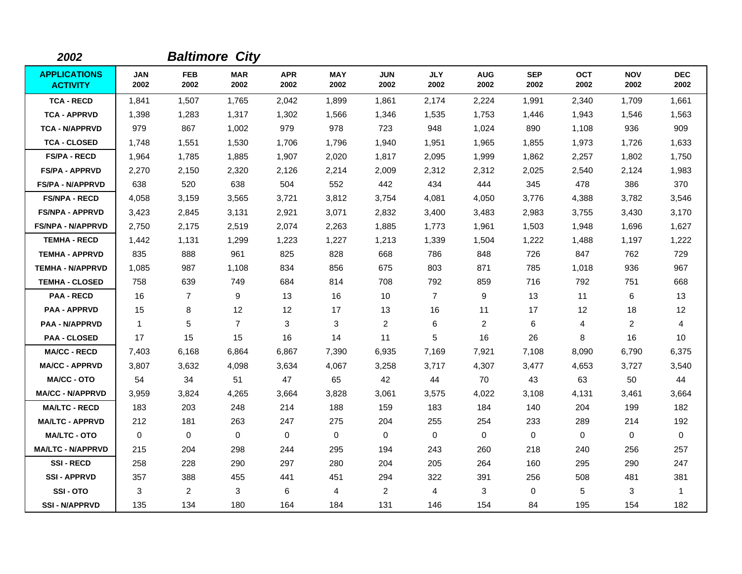| 2002                                   |                    |                    | <b>Baltimore City</b> |                    |                    |                    |                    |                    |                    |                    |                    |                    |
|----------------------------------------|--------------------|--------------------|-----------------------|--------------------|--------------------|--------------------|--------------------|--------------------|--------------------|--------------------|--------------------|--------------------|
| <b>APPLICATIONS</b><br><b>ACTIVITY</b> | <b>JAN</b><br>2002 | <b>FEB</b><br>2002 | <b>MAR</b><br>2002    | <b>APR</b><br>2002 | <b>MAY</b><br>2002 | <b>JUN</b><br>2002 | <b>JLY</b><br>2002 | <b>AUG</b><br>2002 | <b>SEP</b><br>2002 | <b>OCT</b><br>2002 | <b>NOV</b><br>2002 | <b>DEC</b><br>2002 |
| <b>TCA - RECD</b>                      | 1,841              | 1,507              | 1,765                 | 2,042              | 1,899              | 1,861              | 2,174              | 2,224              | 1,991              | 2,340              | 1,709              | 1,661              |
| <b>TCA - APPRVD</b>                    | 1,398              | 1,283              | 1,317                 | 1,302              | 1,566              | 1,346              | 1,535              | 1,753              | 1,446              | 1,943              | 1,546              | 1,563              |
| <b>TCA - N/APPRVD</b>                  | 979                | 867                | 1,002                 | 979                | 978                | 723                | 948                | 1,024              | 890                | 1,108              | 936                | 909                |
| <b>TCA - CLOSED</b>                    | 1,748              | 1,551              | 1,530                 | 1,706              | 1,796              | 1,940              | 1,951              | 1,965              | 1,855              | 1,973              | 1,726              | 1,633              |
| <b>FS/PA - RECD</b>                    | 1,964              | 1,785              | 1,885                 | 1,907              | 2,020              | 1,817              | 2,095              | 1,999              | 1,862              | 2,257              | 1,802              | 1,750              |
| <b>FS/PA - APPRVD</b>                  | 2,270              | 2,150              | 2,320                 | 2,126              | 2,214              | 2,009              | 2,312              | 2,312              | 2,025              | 2,540              | 2,124              | 1,983              |
| <b>FS/PA - N/APPRVD</b>                | 638                | 520                | 638                   | 504                | 552                | 442                | 434                | 444                | 345                | 478                | 386                | 370                |
| <b>FS/NPA - RECD</b>                   | 4,058              | 3,159              | 3,565                 | 3,721              | 3,812              | 3,754              | 4,081              | 4,050              | 3,776              | 4,388              | 3,782              | 3,546              |
| <b>FS/NPA - APPRVD</b>                 | 3,423              | 2,845              | 3,131                 | 2,921              | 3,071              | 2,832              | 3,400              | 3,483              | 2,983              | 3,755              | 3,430              | 3,170              |
| <b>FS/NPA - N/APPRVD</b>               | 2,750              | 2,175              | 2,519                 | 2,074              | 2,263              | 1,885              | 1,773              | 1,961              | 1,503              | 1,948              | 1,696              | 1,627              |
| <b>TEMHA - RECD</b>                    | 1,442              | 1,131              | 1,299                 | 1,223              | 1,227              | 1,213              | 1,339              | 1,504              | 1,222              | 1,488              | 1,197              | 1,222              |
| <b>TEMHA - APPRVD</b>                  | 835                | 888                | 961                   | 825                | 828                | 668                | 786                | 848                | 726                | 847                | 762                | 729                |
| <b>TEMHA - N/APPRVD</b>                | 1,085              | 987                | 1,108                 | 834                | 856                | 675                | 803                | 871                | 785                | 1,018              | 936                | 967                |
| <b>TEMHA - CLOSED</b>                  | 758                | 639                | 749                   | 684                | 814                | 708                | 792                | 859                | 716                | 792                | 751                | 668                |
| <b>PAA - RECD</b>                      | 16                 | $\overline{7}$     | 9                     | 13                 | 16                 | 10                 | $\overline{7}$     | 9                  | 13                 | 11                 | 6                  | 13                 |
| <b>PAA - APPRVD</b>                    | 15                 | 8                  | $12 \overline{ }$     | 12                 | 17                 | 13                 | 16                 | 11                 | 17                 | 12                 | 18                 | 12                 |
| <b>PAA - N/APPRVD</b>                  | $\overline{1}$     | 5                  | $\overline{7}$        | 3                  | 3                  | 2                  | 6                  | $\overline{c}$     | 6                  | 4                  | $\overline{c}$     | 4                  |
| <b>PAA - CLOSED</b>                    | 17                 | 15                 | 15                    | 16                 | 14                 | 11                 | 5                  | 16                 | 26                 | 8                  | 16                 | 10                 |
| <b>MA/CC - RECD</b>                    | 7,403              | 6.168              | 6,864                 | 6,867              | 7,390              | 6,935              | 7,169              | 7,921              | 7,108              | 8,090              | 6,790              | 6,375              |
| <b>MA/CC - APPRVD</b>                  | 3,807              | 3,632              | 4,098                 | 3,634              | 4,067              | 3,258              | 3,717              | 4,307              | 3,477              | 4,653              | 3,727              | 3,540              |
| <b>MA/CC - OTO</b>                     | 54                 | 34                 | 51                    | 47                 | 65                 | 42                 | 44                 | 70                 | 43                 | 63                 | 50                 | 44                 |
| <b>MA/CC - N/APPRVD</b>                | 3,959              | 3,824              | 4,265                 | 3,664              | 3,828              | 3,061              | 3,575              | 4,022              | 3,108              | 4,131              | 3,461              | 3,664              |
| <b>MA/LTC - RECD</b>                   | 183                | 203                | 248                   | 214                | 188                | 159                | 183                | 184                | 140                | 204                | 199                | 182                |
| <b>MA/LTC - APPRVD</b>                 | 212                | 181                | 263                   | 247                | 275                | 204                | 255                | 254                | 233                | 289                | 214                | 192                |
| <b>MA/LTC - OTO</b>                    | $\mathbf 0$        | 0                  | $\mathbf 0$           | $\mathbf 0$        | $\mathbf 0$        | $\mathbf 0$        | $\mathbf 0$        | $\mathbf 0$        | $\mathbf 0$        | $\mathbf 0$        | 0                  | 0                  |
| <b>MA/LTC - N/APPRVD</b>               | 215                | 204                | 298                   | 244                | 295                | 194                | 243                | 260                | 218                | 240                | 256                | 257                |
| <b>SSI-RECD</b>                        | 258                | 228                | 290                   | 297                | 280                | 204                | 205                | 264                | 160                | 295                | 290                | 247                |
| <b>SSI-APPRVD</b>                      | 357                | 388                | 455                   | 441                | 451                | 294                | 322                | 391                | 256                | 508                | 481                | 381                |
| SSI-OTO                                | 3                  | $\overline{c}$     | 3                     | 6                  | 4                  | $\overline{c}$     | 4                  | 3                  | 0                  | 5                  | 3                  | 1                  |
| <b>SSI-N/APPRVD</b>                    | 135                | 134                | 180                   | 164                | 184                | 131                | 146                | 154                | 84                 | 195                | 154                | 182                |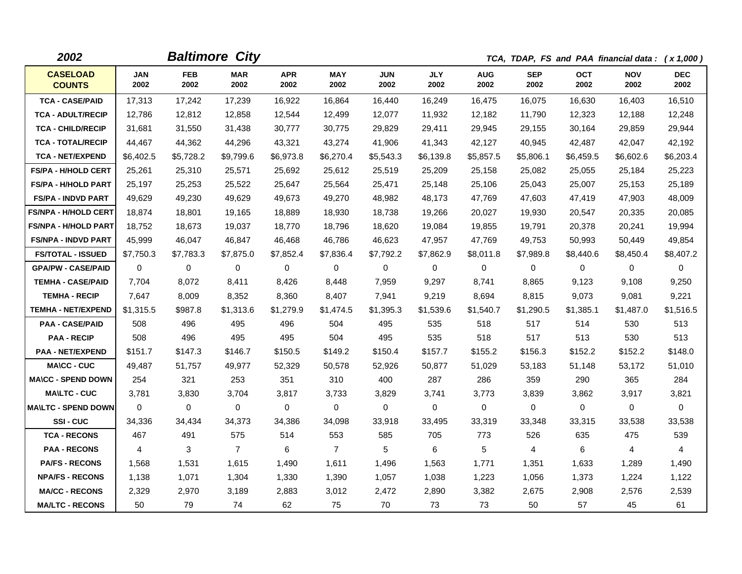| 2002                             |                    |                    | <b>Baltimore City</b> |                    |                    |                    |                    | TCA, TDAP, FS and PAA financial data: (x 1,000) |                    |                    |                    |                    |  |  |
|----------------------------------|--------------------|--------------------|-----------------------|--------------------|--------------------|--------------------|--------------------|-------------------------------------------------|--------------------|--------------------|--------------------|--------------------|--|--|
| <b>CASELOAD</b><br><b>COUNTS</b> | <b>JAN</b><br>2002 | <b>FEB</b><br>2002 | <b>MAR</b><br>2002    | <b>APR</b><br>2002 | <b>MAY</b><br>2002 | <b>JUN</b><br>2002 | <b>JLY</b><br>2002 | <b>AUG</b><br>2002                              | <b>SEP</b><br>2002 | <b>OCT</b><br>2002 | <b>NOV</b><br>2002 | <b>DEC</b><br>2002 |  |  |
| <b>TCA - CASE/PAID</b>           | 17,313             | 17,242             | 17,239                | 16,922             | 16,864             | 16,440             | 16,249             | 16,475                                          | 16,075             | 16,630             | 16,403             | 16,510             |  |  |
| <b>TCA - ADULT/RECIP</b>         | 12,786             | 12,812             | 12,858                | 12,544             | 12,499             | 12,077             | 11,932             | 12,182                                          | 11,790             | 12,323             | 12,188             | 12,248             |  |  |
| <b>TCA - CHILD/RECIP</b>         | 31,681             | 31,550             | 31,438                | 30,777             | 30,775             | 29,829             | 29,411             | 29,945                                          | 29,155             | 30,164             | 29,859             | 29,944             |  |  |
| <b>TCA - TOTAL/RECIP</b>         | 44,467             | 44,362             | 44,296                | 43,321             | 43,274             | 41,906             | 41,343             | 42,127                                          | 40,945             | 42,487             | 42,047             | 42,192             |  |  |
| <b>TCA - NET/EXPEND</b>          | \$6,402.5          | \$5,728.2          | \$9,799.6             | \$6,973.8          | \$6,270.4          | \$5,543.3          | \$6,139.8          | \$5,857.5                                       | \$5,806.1          | \$6,459.5          | \$6,602.6          | \$6,203.4          |  |  |
| <b>FS/PA - H/HOLD CERT</b>       | 25,261             | 25,310             | 25,571                | 25,692             | 25,612             | 25,519             | 25,209             | 25,158                                          | 25,082             | 25,055             | 25,184             | 25,223             |  |  |
| <b>FS/PA - H/HOLD PART</b>       | 25,197             | 25,253             | 25,522                | 25,647             | 25,564             | 25,471             | 25,148             | 25,106                                          | 25,043             | 25,007             | 25,153             | 25,189             |  |  |
| <b>FS/PA - INDVD PART</b>        | 49,629             | 49,230             | 49,629                | 49,673             | 49,270             | 48,982             | 48,173             | 47.769                                          | 47,603             | 47,419             | 47,903             | 48,009             |  |  |
| <b>FS/NPA - H/HOLD CERT</b>      | 18,874             | 18,801             | 19,165                | 18,889             | 18,930             | 18,738             | 19,266             | 20,027                                          | 19,930             | 20,547             | 20,335             | 20,085             |  |  |
| <b>FS/NPA - H/HOLD PART</b>      | 18,752             | 18,673             | 19,037                | 18,770             | 18,796             | 18.620             | 19,084             | 19,855                                          | 19,791             | 20,378             | 20,241             | 19,994             |  |  |
| <b>FS/NPA - INDVD PART</b>       | 45,999             | 46,047             | 46,847                | 46,468             | 46,786             | 46,623             | 47,957             | 47,769                                          | 49,753             | 50,993             | 50,449             | 49,854             |  |  |
| <b>FS/TOTAL - ISSUED</b>         | \$7,750.3          | \$7,783.3          | \$7,875.0             | \$7,852.4          | \$7,836.4          | \$7,792.2          | \$7,862.9          | \$8,011.8                                       | \$7,989.8          | \$8,440.6          | \$8,450.4          | \$8,407.2          |  |  |
| <b>GPA/PW - CASE/PAID</b>        | 0                  | 0                  | 0                     | $\mathbf{0}$       | 0                  | 0                  | 0                  | 0                                               | 0                  | 0                  | 0                  | 0                  |  |  |
| <b>TEMHA - CASE/PAID</b>         | 7,704              | 8,072              | 8,411                 | 8,426              | 8,448              | 7,959              | 9,297              | 8,741                                           | 8,865              | 9,123              | 9,108              | 9,250              |  |  |
| <b>TEMHA - RECIP</b>             | 7,647              | 8,009              | 8,352                 | 8,360              | 8,407              | 7,941              | 9,219              | 8,694                                           | 8,815              | 9,073              | 9,081              | 9,221              |  |  |
| <b>TEMHA - NET/EXPEND</b>        | \$1,315.5          | \$987.8            | \$1,313.6             | \$1,279.9          | \$1,474.5          | \$1,395.3          | \$1,539.6          | \$1,540.7                                       | \$1,290.5          | \$1,385.1          | \$1,487.0          | \$1,516.5          |  |  |
| <b>PAA - CASE/PAID</b>           | 508                | 496                | 495                   | 496                | 504                | 495                | 535                | 518                                             | 517                | 514                | 530                | 513                |  |  |
| <b>PAA - RECIP</b>               | 508                | 496                | 495                   | 495                | 504                | 495                | 535                | 518                                             | 517                | 513                | 530                | 513                |  |  |
| <b>PAA - NET/EXPEND</b>          | \$151.7            | \$147.3            | \$146.7               | \$150.5            | \$149.2            | \$150.4            | \$157.7            | \$155.2                                         | \$156.3            | \$152.2            | \$152.2            | \$148.0            |  |  |
| <b>MA\CC - CUC</b>               | 49,487             | 51,757             | 49,977                | 52,329             | 50,578             | 52,926             | 50,877             | 51,029                                          | 53,183             | 51,148             | 53,172             | 51,010             |  |  |
| <b>MA\CC - SPEND DOWN</b>        | 254                | 321                | 253                   | 351                | 310                | 400                | 287                | 286                                             | 359                | 290                | 365                | 284                |  |  |
| <b>MA\LTC - CUC</b>              | 3,781              | 3,830              | 3,704                 | 3,817              | 3,733              | 3,829              | 3,741              | 3,773                                           | 3,839              | 3,862              | 3,917              | 3,821              |  |  |
| <b>MA\LTC - SPEND DOWN</b>       | $\mathbf{0}$       | $\mathbf 0$        | $\mathbf 0$           | $\mathbf 0$        | $\mathbf 0$        | $\mathbf 0$        | $\mathbf 0$        | $\mathbf 0$                                     | 0                  | $\mathbf 0$        | $\mathbf 0$        | $\mathbf 0$        |  |  |
| SSI-CUC                          | 34,336             | 34,434             | 34,373                | 34,386             | 34,098             | 33,918             | 33,495             | 33,319                                          | 33,348             | 33,315             | 33,538             | 33,538             |  |  |
| <b>TCA - RECONS</b>              | 467                | 491                | 575                   | 514                | 553                | 585                | 705                | 773                                             | 526                | 635                | 475                | 539                |  |  |
| <b>PAA - RECONS</b>              | 4                  | 3                  | $\overline{7}$        | 6                  | $\overline{7}$     | 5                  | 6                  | 5                                               | 4                  | 6                  | 4                  | 4                  |  |  |
| <b>PA/FS - RECONS</b>            | 1,568              | 1,531              | 1,615                 | 1,490              | 1,611              | 1,496              | 1,563              | 1,771                                           | 1,351              | 1,633              | 1,289              | 1,490              |  |  |
| <b>NPA/FS - RECONS</b>           | 1,138              | 1,071              | 1,304                 | 1,330              | 1,390              | 1,057              | 1,038              | 1,223                                           | 1,056              | 1,373              | 1,224              | 1,122              |  |  |
| <b>MA/CC - RECONS</b>            | 2,329              | 2,970              | 3,189                 | 2,883              | 3,012              | 2,472              | 2,890              | 3,382                                           | 2,675              | 2,908              | 2,576              | 2,539              |  |  |
| <b>MA/LTC - RECONS</b>           | 50                 | 79                 | 74                    | 62                 | 75                 | 70                 | 73                 | 73                                              | 50                 | 57                 | 45                 | 61                 |  |  |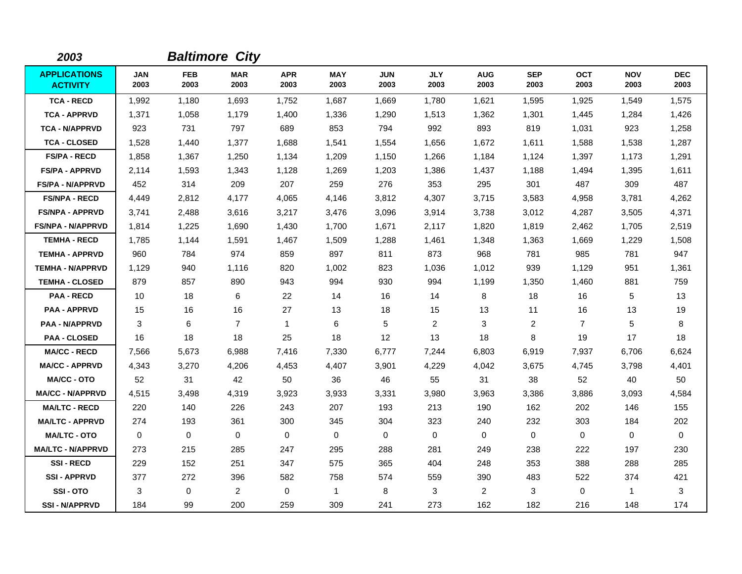| 2003                                   |                    |                    | <b>Baltimore City</b> |                    |                    |                    |                    |                    |                    |                    |                    |                    |
|----------------------------------------|--------------------|--------------------|-----------------------|--------------------|--------------------|--------------------|--------------------|--------------------|--------------------|--------------------|--------------------|--------------------|
| <b>APPLICATIONS</b><br><b>ACTIVITY</b> | <b>JAN</b><br>2003 | <b>FEB</b><br>2003 | <b>MAR</b><br>2003    | <b>APR</b><br>2003 | <b>MAY</b><br>2003 | <b>JUN</b><br>2003 | <b>JLY</b><br>2003 | <b>AUG</b><br>2003 | <b>SEP</b><br>2003 | <b>OCT</b><br>2003 | <b>NOV</b><br>2003 | <b>DEC</b><br>2003 |
| <b>TCA - RECD</b>                      | 1,992              | 1,180              | 1,693                 | 1,752              | 1,687              | 1,669              | 1,780              | 1,621              | 1,595              | 1,925              | 1,549              | 1,575              |
| <b>TCA - APPRVD</b>                    | 1,371              | 1,058              | 1,179                 | 1,400              | 1,336              | 1,290              | 1,513              | 1,362              | 1,301              | 1,445              | 1,284              | 1,426              |
| <b>TCA - N/APPRVD</b>                  | 923                | 731                | 797                   | 689                | 853                | 794                | 992                | 893                | 819                | 1,031              | 923                | 1,258              |
| <b>TCA - CLOSED</b>                    | 1,528              | 1,440              | 1,377                 | 1,688              | 1,541              | 1,554              | 1,656              | 1,672              | 1,611              | 1,588              | 1,538              | 1,287              |
| <b>FS/PA - RECD</b>                    | 1,858              | 1.367              | 1,250                 | 1,134              | 1,209              | 1,150              | 1,266              | 1,184              | 1,124              | 1,397              | 1,173              | 1,291              |
| <b>FS/PA - APPRVD</b>                  | 2,114              | 1,593              | 1,343                 | 1,128              | 1,269              | 1,203              | 1,386              | 1,437              | 1,188              | 1,494              | 1,395              | 1,611              |
| <b>FS/PA - N/APPRVD</b>                | 452                | 314                | 209                   | 207                | 259                | 276                | 353                | 295                | 301                | 487                | 309                | 487                |
| <b>FS/NPA - RECD</b>                   | 4,449              | 2,812              | 4,177                 | 4,065              | 4,146              | 3,812              | 4,307              | 3,715              | 3,583              | 4,958              | 3,781              | 4,262              |
| <b>FS/NPA - APPRVD</b>                 | 3,741              | 2,488              | 3,616                 | 3,217              | 3,476              | 3,096              | 3,914              | 3,738              | 3,012              | 4,287              | 3,505              | 4,371              |
| <b>FS/NPA - N/APPRVD</b>               | 1,814              | 1,225              | 1,690                 | 1,430              | 1,700              | 1,671              | 2,117              | 1,820              | 1,819              | 2,462              | 1,705              | 2,519              |
| <b>TEMHA - RECD</b>                    | 1,785              | 1,144              | 1,591                 | 1,467              | 1,509              | 1,288              | 1,461              | 1,348              | 1,363              | 1,669              | 1,229              | 1,508              |
| <b>TEMHA - APPRVD</b>                  | 960                | 784                | 974                   | 859                | 897                | 811                | 873                | 968                | 781                | 985                | 781                | 947                |
| <b>TEMHA - N/APPRVD</b>                | 1,129              | 940                | 1,116                 | 820                | 1,002              | 823                | 1,036              | 1,012              | 939                | 1,129              | 951                | 1,361              |
| <b>TEMHA - CLOSED</b>                  | 879                | 857                | 890                   | 943                | 994                | 930                | 994                | 1,199              | 1,350              | 1,460              | 881                | 759                |
| <b>PAA - RECD</b>                      | 10                 | 18                 | 6                     | 22                 | 14                 | 16                 | 14                 | 8                  | 18                 | 16                 | 5                  | 13                 |
| <b>PAA - APPRVD</b>                    | 15                 | 16                 | 16                    | 27                 | 13                 | 18                 | 15                 | 13                 | 11                 | 16                 | 13                 | 19                 |
| <b>PAA - N/APPRVD</b>                  | 3                  | 6                  | $\overline{7}$        | $\mathbf{1}$       | 6                  | 5                  | $\overline{2}$     | 3                  | $\overline{2}$     | $\overline{7}$     | 5                  | 8                  |
| <b>PAA - CLOSED</b>                    | 16                 | 18                 | 18                    | 25                 | 18                 | 12                 | 13                 | 18                 | 8                  | 19                 | 17                 | 18                 |
| <b>MA/CC - RECD</b>                    | 7,566              | 5,673              | 6,988                 | 7,416              | 7,330              | 6,777              | 7,244              | 6,803              | 6,919              | 7,937              | 6,706              | 6,624              |
| <b>MA/CC - APPRVD</b>                  | 4,343              | 3,270              | 4,206                 | 4,453              | 4,407              | 3,901              | 4,229              | 4,042              | 3,675              | 4,745              | 3,798              | 4,401              |
| <b>MA/CC - OTO</b>                     | 52                 | 31                 | 42                    | 50                 | 36                 | 46                 | 55                 | 31                 | 38                 | 52                 | 40                 | 50                 |
| <b>MA/CC - N/APPRVD</b>                | 4,515              | 3,498              | 4,319                 | 3,923              | 3,933              | 3,331              | 3,980              | 3,963              | 3,386              | 3,886              | 3,093              | 4,584              |
| <b>MA/LTC - RECD</b>                   | 220                | 140                | 226                   | 243                | 207                | 193                | 213                | 190                | 162                | 202                | 146                | 155                |
| <b>MA/LTC - APPRVD</b>                 | 274                | 193                | 361                   | 300                | 345                | 304                | 323                | 240                | 232                | 303                | 184                | 202                |
| <b>MA/LTC - OTO</b>                    | $\mathbf 0$        | $\mathbf 0$        | $\mathbf 0$           | $\mathbf 0$        | 0                  | $\mathbf 0$        | $\mathbf 0$        | 0                  | $\mathbf 0$        | $\mathbf 0$        | $\mathbf 0$        | $\mathbf 0$        |
| <b>MA/LTC - N/APPRVD</b>               | 273                | 215                | 285                   | 247                | 295                | 288                | 281                | 249                | 238                | 222                | 197                | 230                |
| <b>SSI-RECD</b>                        | 229                | 152                | 251                   | 347                | 575                | 365                | 404                | 248                | 353                | 388                | 288                | 285                |
| <b>SSI-APPRVD</b>                      | 377                | 272                | 396                   | 582                | 758                | 574                | 559                | 390                | 483                | 522                | 374                | 421                |
| SSI-OTO                                | 3                  | 0                  | $\overline{2}$        | 0                  | $\mathbf{1}$       | 8                  | 3                  | $\overline{c}$     | 3                  | $\mathbf 0$        | 1                  | 3                  |
| <b>SSI-N/APPRVD</b>                    | 184                | 99                 | 200                   | 259                | 309                | 241                | 273                | 162                | 182                | 216                | 148                | 174                |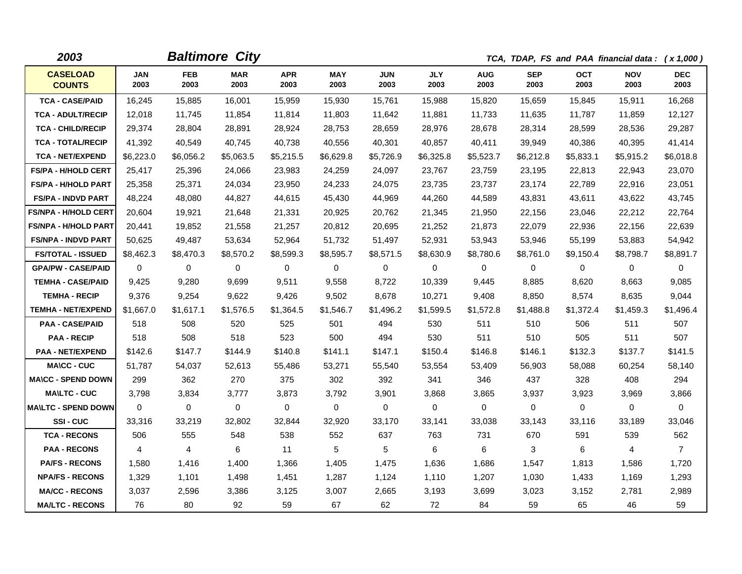| 2003                             |                    |                    | <b>Baltimore City</b> |                    |             |                    |                    | TCA, TDAP, FS and PAA financial data: (x 1,000) |                    |                    |                    |                    |  |  |
|----------------------------------|--------------------|--------------------|-----------------------|--------------------|-------------|--------------------|--------------------|-------------------------------------------------|--------------------|--------------------|--------------------|--------------------|--|--|
| <b>CASELOAD</b><br><b>COUNTS</b> | <b>JAN</b><br>2003 | <b>FEB</b><br>2003 | <b>MAR</b><br>2003    | <b>APR</b><br>2003 | MAY<br>2003 | <b>JUN</b><br>2003 | <b>JLY</b><br>2003 | <b>AUG</b><br>2003                              | <b>SEP</b><br>2003 | <b>OCT</b><br>2003 | <b>NOV</b><br>2003 | <b>DEC</b><br>2003 |  |  |
| <b>TCA - CASE/PAID</b>           | 16,245             | 15,885             | 16,001                | 15,959             | 15,930      | 15,761             | 15,988             | 15,820                                          | 15,659             | 15,845             | 15,911             | 16,268             |  |  |
| <b>TCA - ADULT/RECIP</b>         | 12,018             | 11,745             | 11,854                | 11,814             | 11,803      | 11,642             | 11,881             | 11,733                                          | 11,635             | 11,787             | 11,859             | 12,127             |  |  |
| <b>TCA - CHILD/RECIP</b>         | 29,374             | 28,804             | 28,891                | 28,924             | 28,753      | 28,659             | 28,976             | 28,678                                          | 28,314             | 28,599             | 28,536             | 29,287             |  |  |
| <b>TCA - TOTAL/RECIP</b>         | 41,392             | 40,549             | 40,745                | 40,738             | 40,556      | 40,301             | 40,857             | 40,411                                          | 39,949             | 40,386             | 40,395             | 41,414             |  |  |
| <b>TCA - NET/EXPEND</b>          | \$6,223.0          | \$6,056.2          | \$5,063.5             | \$5,215.5          | \$6,629.8   | \$5,726.9          | \$6,325.8          | \$5,523.7                                       | \$6,212.8          | \$5,833.1          | \$5,915.2          | \$6,018.8          |  |  |
| <b>FS/PA - H/HOLD CERT</b>       | 25,417             | 25,396             | 24,066                | 23,983             | 24,259      | 24,097             | 23,767             | 23,759                                          | 23,195             | 22,813             | 22,943             | 23,070             |  |  |
| <b>FS/PA - H/HOLD PART</b>       | 25,358             | 25,371             | 24,034                | 23,950             | 24,233      | 24,075             | 23,735             | 23,737                                          | 23,174             | 22,789             | 22,916             | 23,051             |  |  |
| <b>FS/PA - INDVD PART</b>        | 48,224             | 48,080             | 44,827                | 44,615             | 45,430      | 44,969             | 44,260             | 44,589                                          | 43,831             | 43,611             | 43,622             | 43,745             |  |  |
| <b>FS/NPA - H/HOLD CERT</b>      | 20,604             | 19,921             | 21,648                | 21,331             | 20,925      | 20,762             | 21,345             | 21,950                                          | 22,156             | 23,046             | 22,212             | 22,764             |  |  |
| <b>FS/NPA - H/HOLD PART</b>      | 20,441             | 19,852             | 21,558                | 21,257             | 20,812      | 20,695             | 21,252             | 21,873                                          | 22,079             | 22,936             | 22,156             | 22,639             |  |  |
| <b>FS/NPA - INDVD PART</b>       | 50,625             | 49,487             | 53,634                | 52,964             | 51,732      | 51,497             | 52,931             | 53,943                                          | 53,946             | 55,199             | 53,883             | 54,942             |  |  |
| <b>FS/TOTAL - ISSUED</b>         | \$8,462.3          | \$8,470.3          | \$8,570.2             | \$8,599.3          | \$8,595.7   | \$8,571.5          | \$8,630.9          | \$8,780.6                                       | \$8,761.0          | \$9,150.4          | \$8,798.7          | \$8,891.7          |  |  |
| <b>GPA/PW - CASE/PAID</b>        | 0                  | 0                  | 0                     | $\mathbf{0}$       | 0           | 0                  | 0                  | 0                                               | $\Omega$           | 0                  | 0                  | 0                  |  |  |
| <b>TEMHA - CASE/PAID</b>         | 9,425              | 9,280              | 9,699                 | 9,511              | 9,558       | 8,722              | 10,339             | 9,445                                           | 8,885              | 8,620              | 8,663              | 9,085              |  |  |
| <b>TEMHA - RECIP</b>             | 9,376              | 9,254              | 9,622                 | 9,426              | 9,502       | 8,678              | 10,271             | 9,408                                           | 8,850              | 8,574              | 8,635              | 9,044              |  |  |
| <b>TEMHA - NET/EXPEND</b>        | \$1,667.0          | \$1,617.1          | \$1,576.5             | \$1,364.5          | \$1,546.7   | \$1,496.2          | \$1,599.5          | \$1,572.8                                       | \$1,488.8          | \$1,372.4          | \$1,459.3          | \$1,496.4          |  |  |
| <b>PAA - CASE/PAID</b>           | 518                | 508                | 520                   | 525                | 501         | 494                | 530                | 511                                             | 510                | 506                | 511                | 507                |  |  |
| <b>PAA - RECIP</b>               | 518                | 508                | 518                   | 523                | 500         | 494                | 530                | 511                                             | 510                | 505                | 511                | 507                |  |  |
| <b>PAA - NET/EXPEND</b>          | \$142.6            | \$147.7            | \$144.9               | \$140.8            | \$141.1     | \$147.1            | \$150.4            | \$146.8                                         | \$146.1            | \$132.3            | \$137.7            | \$141.5            |  |  |
| <b>MA\CC - CUC</b>               | 51,787             | 54,037             | 52,613                | 55,486             | 53,271      | 55,540             | 53,554             | 53,409                                          | 56,903             | 58,088             | 60,254             | 58,140             |  |  |
| <b>MA\CC - SPEND DOWN</b>        | 299                | 362                | 270                   | 375                | 302         | 392                | 341                | 346                                             | 437                | 328                | 408                | 294                |  |  |
| <b>MA\LTC - CUC</b>              | 3,798              | 3.834              | 3,777                 | 3,873              | 3,792       | 3,901              | 3,868              | 3,865                                           | 3,937              | 3,923              | 3,969              | 3,866              |  |  |
| <b>MA\LTC - SPEND DOWN</b>       | $\mathbf{0}$       | $\mathbf 0$        | $\mathbf 0$           | $\mathbf 0$        | $\mathbf 0$ | 0                  | $\mathbf 0$        | $\mathbf 0$                                     | 0                  | $\mathbf 0$        | $\mathbf 0$        | $\mathbf 0$        |  |  |
| SSI-CUC                          | 33,316             | 33,219             | 32,802                | 32,844             | 32,920      | 33,170             | 33,141             | 33,038                                          | 33,143             | 33,116             | 33,189             | 33,046             |  |  |
| <b>TCA - RECONS</b>              | 506                | 555                | 548                   | 538                | 552         | 637                | 763                | 731                                             | 670                | 591                | 539                | 562                |  |  |
| <b>PAA - RECONS</b>              | 4                  | 4                  | 6                     | 11                 | 5           | 5                  | 6                  | 6                                               | 3                  | 6                  | 4                  | $\overline{7}$     |  |  |
| <b>PA/FS - RECONS</b>            | 1,580              | 1,416              | 1,400                 | 1,366              | 1,405       | 1,475              | 1,636              | 1,686                                           | 1,547              | 1,813              | 1,586              | 1,720              |  |  |
| <b>NPA/FS - RECONS</b>           | 1,329              | 1,101              | 1,498                 | 1,451              | 1,287       | 1,124              | 1,110              | 1,207                                           | 1.030              | 1,433              | 1,169              | 1,293              |  |  |
| <b>MA/CC - RECONS</b>            | 3,037              | 2,596              | 3,386                 | 3,125              | 3,007       | 2,665              | 3,193              | 3,699                                           | 3,023              | 3,152              | 2,781              | 2,989              |  |  |
| <b>MA/LTC - RECONS</b>           | 76                 | 80                 | 92                    | 59                 | 67          | 62                 | 72                 | 84                                              | 59                 | 65                 | 46                 | 59                 |  |  |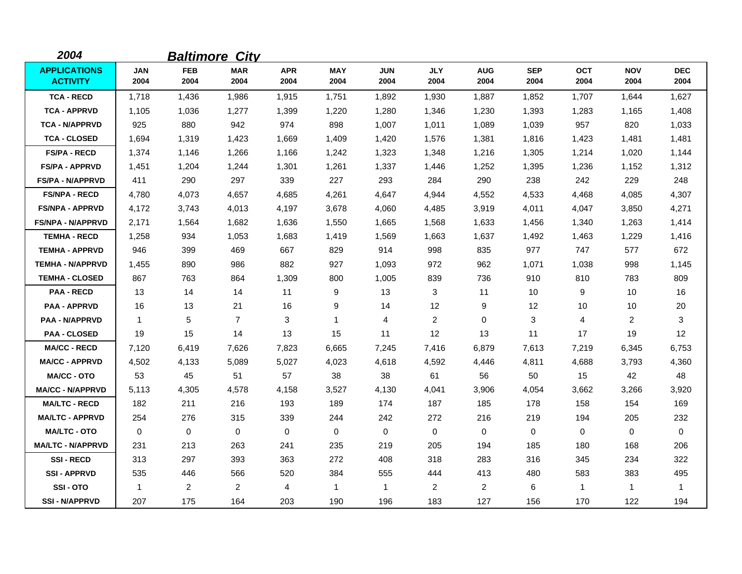| 2004                                   |                    |                         | <b>Baltimore City</b> |                    |                    |                    |                    |                    |                    |                    |                    |                    |
|----------------------------------------|--------------------|-------------------------|-----------------------|--------------------|--------------------|--------------------|--------------------|--------------------|--------------------|--------------------|--------------------|--------------------|
| <b>APPLICATIONS</b><br><b>ACTIVITY</b> | <b>JAN</b><br>2004 | <b>FEB</b><br>2004      | <b>MAR</b><br>2004    | <b>APR</b><br>2004 | <b>MAY</b><br>2004 | <b>JUN</b><br>2004 | <b>JLY</b><br>2004 | <b>AUG</b><br>2004 | <b>SEP</b><br>2004 | <b>OCT</b><br>2004 | <b>NOV</b><br>2004 | <b>DEC</b><br>2004 |
| <b>TCA - RECD</b>                      | 1,718              | 1,436                   | 1,986                 | 1,915              | 1,751              | 1,892              | 1,930              | 1,887              | 1,852              | 1,707              | 1,644              | 1,627              |
| <b>TCA - APPRVD</b>                    | 1,105              | 1,036                   | 1,277                 | 1,399              | 1,220              | 1,280              | 1,346              | 1,230              | 1,393              | 1,283              | 1,165              | 1,408              |
| <b>TCA - N/APPRVD</b>                  | 925                | 880                     | 942                   | 974                | 898                | 1,007              | 1,011              | 1,089              | 1,039              | 957                | 820                | 1,033              |
| <b>TCA - CLOSED</b>                    | 1,694              | 1,319                   | 1,423                 | 1,669              | 1,409              | 1,420              | 1,576              | 1,381              | 1,816              | 1,423              | 1,481              | 1,481              |
| <b>FS/PA - RECD</b>                    | 1,374              | 1,146                   | 1,266                 | 1,166              | 1,242              | 1,323              | 1,348              | 1,216              | 1,305              | 1,214              | 1,020              | 1,144              |
| <b>FS/PA - APPRVD</b>                  | 1,451              | 1,204                   | 1,244                 | 1,301              | 1,261              | 1,337              | 1,446              | 1,252              | 1,395              | 1,236              | 1,152              | 1,312              |
| <b>FS/PA - N/APPRVD</b>                | 411                | 290                     | 297                   | 339                | 227                | 293                | 284                | 290                | 238                | 242                | 229                | 248                |
| <b>FS/NPA - RECD</b>                   | 4,780              | 4,073                   | 4,657                 | 4,685              | 4,261              | 4,647              | 4,944              | 4,552              | 4,533              | 4,468              | 4,085              | 4,307              |
| <b>FS/NPA - APPRVD</b>                 | 4,172              | 3,743                   | 4,013                 | 4,197              | 3,678              | 4,060              | 4,485              | 3,919              | 4,011              | 4,047              | 3,850              | 4,271              |
| <b>FS/NPA - N/APPRVD</b>               | 2,171              | 1,564                   | 1,682                 | 1,636              | 1,550              | 1,665              | 1,568              | 1,633              | 1,456              | 1,340              | 1,263              | 1,414              |
| <b>TEMHA - RECD</b>                    | 1,258              | 934                     | 1,053                 | 1,683              | 1,419              | 1,569              | 1,663              | 1,637              | 1,492              | 1,463              | 1,229              | 1,416              |
| <b>TEMHA - APPRVD</b>                  | 946                | 399                     | 469                   | 667                | 829                | 914                | 998                | 835                | 977                | 747                | 577                | 672                |
| <b>TEMHA - N/APPRVD</b>                | 1,455              | 890                     | 986                   | 882                | 927                | 1,093              | 972                | 962                | 1,071              | 1,038              | 998                | 1,145              |
| <b>TEMHA - CLOSED</b>                  | 867                | 763                     | 864                   | 1,309              | 800                | 1,005              | 839                | 736                | 910                | 810                | 783                | 809                |
| <b>PAA - RECD</b>                      | 13                 | 14                      | 14                    | 11                 | 9                  | 13                 | 3                  | 11                 | 10                 | 9                  | 10                 | 16                 |
| <b>PAA - APPRVD</b>                    | 16                 | 13                      | 21                    | 16                 | 9                  | 14                 | $12 \,$            | 9                  | 12                 | 10                 | 10                 | 20                 |
| <b>PAA - N/APPRVD</b>                  | $\mathbf{1}$       | 5                       | $\overline{7}$        | 3                  | $\mathbf{1}$       | 4                  | $\overline{c}$     | 0                  | 3                  | 4                  | $\overline{2}$     | 3                  |
| <b>PAA - CLOSED</b>                    | 19                 | 15                      | 14                    | 13                 | 15                 | 11                 | 12                 | 13                 | 11                 | 17                 | 19                 | 12                 |
| <b>MA/CC - RECD</b>                    | 7,120              | 6,419                   | 7,626                 | 7,823              | 6,665              | 7,245              | 7,416              | 6,879              | 7,613              | 7,219              | 6,345              | 6,753              |
| <b>MA/CC - APPRVD</b>                  | 4,502              | 4,133                   | 5,089                 | 5,027              | 4,023              | 4,618              | 4,592              | 4,446              | 4,811              | 4,688              | 3,793              | 4,360              |
| <b>MA/CC - OTO</b>                     | 53                 | 45                      | 51                    | 57                 | 38                 | 38                 | 61                 | 56                 | 50                 | 15                 | 42                 | 48                 |
| <b>MA/CC - N/APPRVD</b>                | 5,113              | 4,305                   | 4,578                 | 4,158              | 3,527              | 4,130              | 4,041              | 3,906              | 4,054              | 3,662              | 3,266              | 3,920              |
| <b>MA/LTC - RECD</b>                   | 182                | 211                     | 216                   | 193                | 189                | 174                | 187                | 185                | 178                | 158                | 154                | 169                |
| <b>MA/LTC - APPRVD</b>                 | 254                | 276                     | 315                   | 339                | 244                | 242                | 272                | 216                | 219                | 194                | 205                | 232                |
| <b>MA/LTC - OTO</b>                    | 0                  | 0                       | $\mathbf 0$           | $\mathbf 0$        | 0                  | $\mathbf 0$        | $\mathbf 0$        | 0                  | $\mathbf 0$        | $\mathbf 0$        | $\mathbf 0$        | 0                  |
| <b>MA/LTC - N/APPRVD</b>               | 231                | 213                     | 263                   | 241                | 235                | 219                | 205                | 194                | 185                | 180                | 168                | 206                |
| <b>SSI-RECD</b>                        | 313                | 297                     | 393                   | 363                | 272                | 408                | 318                | 283                | 316                | 345                | 234                | 322                |
| <b>SSI-APPRVD</b>                      | 535                | 446                     | 566                   | 520                | 384                | 555                | 444                | 413                | 480                | 583                | 383                | 495                |
| SSI-OTO                                | $\mathbf{1}$       | $\overline{\mathbf{c}}$ | $\overline{c}$        | 4                  | $\mathbf{1}$       | $\mathbf{1}$       | $\overline{c}$     | $\overline{c}$     | 6                  | $\mathbf{1}$       | $\mathbf{1}$       | $\mathbf{1}$       |
| <b>SSI-N/APPRVD</b>                    | 207                | 175                     | 164                   | 203                | 190                | 196                | 183                | 127                | 156                | 170                | 122                | 194                |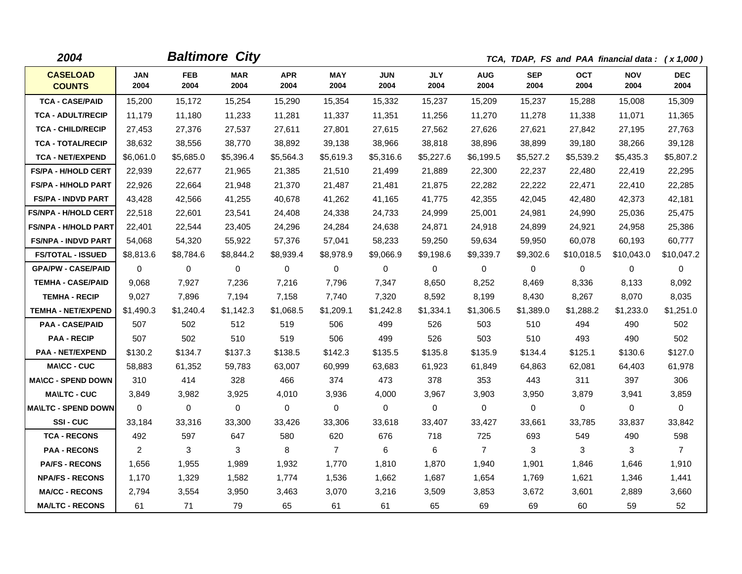| 2004                             |                    |                    | <b>Baltimore City</b> |                    |                    |                    |                    |                    |                    | TCA, TDAP, FS and PAA financial data: (x 1,000) |                    |                    |
|----------------------------------|--------------------|--------------------|-----------------------|--------------------|--------------------|--------------------|--------------------|--------------------|--------------------|-------------------------------------------------|--------------------|--------------------|
| <b>CASELOAD</b><br><b>COUNTS</b> | <b>JAN</b><br>2004 | <b>FEB</b><br>2004 | <b>MAR</b><br>2004    | <b>APR</b><br>2004 | <b>MAY</b><br>2004 | <b>JUN</b><br>2004 | <b>JLY</b><br>2004 | <b>AUG</b><br>2004 | <b>SEP</b><br>2004 | <b>OCT</b><br>2004                              | <b>NOV</b><br>2004 | <b>DEC</b><br>2004 |
| <b>TCA - CASE/PAID</b>           | 15,200             | 15.172             | 15,254                | 15,290             | 15,354             | 15,332             | 15,237             | 15,209             | 15,237             | 15,288                                          | 15,008             | 15,309             |
| <b>TCA - ADULT/RECIP</b>         | 11,179             | 11,180             | 11,233                | 11,281             | 11,337             | 11,351             | 11,256             | 11,270             | 11,278             | 11,338                                          | 11,071             | 11,365             |
| <b>TCA - CHILD/RECIP</b>         | 27,453             | 27,376             | 27,537                | 27,611             | 27,801             | 27,615             | 27,562             | 27,626             | 27,621             | 27,842                                          | 27,195             | 27,763             |
| <b>TCA - TOTAL/RECIP</b>         | 38,632             | 38,556             | 38,770                | 38,892             | 39,138             | 38,966             | 38,818             | 38,896             | 38,899             | 39,180                                          | 38,266             | 39,128             |
| <b>TCA - NET/EXPEND</b>          | \$6,061.0          | \$5,685.0          | \$5,396.4             | \$5,564.3          | \$5,619.3          | \$5,316.6          | \$5,227.6          | \$6,199.5          | \$5,527.2          | \$5,539.2                                       | \$5,435.3          | \$5,807.2          |
| <b>FS/PA - H/HOLD CERT</b>       | 22,939             | 22,677             | 21,965                | 21,385             | 21,510             | 21,499             | 21,889             | 22,300             | 22,237             | 22,480                                          | 22,419             | 22,295             |
| <b>FS/PA - H/HOLD PART</b>       | 22,926             | 22,664             | 21,948                | 21,370             | 21,487             | 21,481             | 21,875             | 22,282             | 22,222             | 22,471                                          | 22,410             | 22,285             |
| <b>FS/PA - INDVD PART</b>        | 43,428             | 42,566             | 41,255                | 40,678             | 41,262             | 41,165             | 41,775             | 42,355             | 42,045             | 42,480                                          | 42,373             | 42,181             |
| <b>FS/NPA - H/HOLD CERT</b>      | 22,518             | 22,601             | 23,541                | 24,408             | 24,338             | 24,733             | 24,999             | 25,001             | 24,981             | 24,990                                          | 25,036             | 25,475             |
| <b>FS/NPA - H/HOLD PART</b>      | 22,401             | 22,544             | 23,405                | 24,296             | 24,284             | 24,638             | 24,871             | 24,918             | 24,899             | 24,921                                          | 24,958             | 25,386             |
| <b>FS/NPA - INDVD PART</b>       | 54,068             | 54,320             | 55,922                | 57,376             | 57,041             | 58,233             | 59,250             | 59,634             | 59,950             | 60,078                                          | 60,193             | 60,777             |
| <b>FS/TOTAL - ISSUED</b>         | \$8,813.6          | \$8,784.6          | \$8,844.2             | \$8,939.4          | \$8,978.9          | \$9,066.9          | \$9,198.6          | \$9,339.7          | \$9,302.6          | \$10,018.5                                      | \$10,043.0         | \$10,047.2         |
| <b>GPA/PW - CASE/PAID</b>        | $\mathbf 0$        | $\mathbf 0$        | 0                     | $\mathbf 0$        | 0                  | 0                  | $\mathbf 0$        | $\mathbf 0$        | 0                  | 0                                               | $\mathbf 0$        | 0                  |
| <b>TEMHA - CASE/PAID</b>         | 9,068              | 7,927              | 7,236                 | 7,216              | 7,796              | 7,347              | 8,650              | 8,252              | 8,469              | 8,336                                           | 8,133              | 8,092              |
| <b>TEMHA - RECIP</b>             | 9,027              | 7,896              | 7,194                 | 7,158              | 7,740              | 7,320              | 8,592              | 8,199              | 8,430              | 8,267                                           | 8,070              | 8,035              |
| <b>TEMHA - NET/EXPEND</b>        | \$1,490.3          | \$1,240.4          | \$1,142.3             | \$1,068.5          | \$1,209.1          | \$1,242.8          | \$1,334.1          | \$1,306.5          | \$1,389.0          | \$1,288.2                                       | \$1,233.0          | \$1,251.0          |
| <b>PAA - CASE/PAID</b>           | 507                | 502                | 512                   | 519                | 506                | 499                | 526                | 503                | 510                | 494                                             | 490                | 502                |
| <b>PAA - RECIP</b>               | 507                | 502                | 510                   | 519                | 506                | 499                | 526                | 503                | 510                | 493                                             | 490                | 502                |
| <b>PAA - NET/EXPEND</b>          | \$130.2            | \$134.7            | \$137.3               | \$138.5            | \$142.3            | \$135.5            | \$135.8            | \$135.9            | \$134.4            | \$125.1                                         | \$130.6            | \$127.0            |
| <b>MA\CC - CUC</b>               | 58.883             | 61,352             | 59,783                | 63,007             | 60,999             | 63,683             | 61,923             | 61,849             | 64,863             | 62,081                                          | 64,403             | 61,978             |
| <b>MA\CC - SPEND DOWN</b>        | 310                | 414                | 328                   | 466                | 374                | 473                | 378                | 353                | 443                | 311                                             | 397                | 306                |
| <b>MAILTC - CUC</b>              | 3,849              | 3,982              | 3,925                 | 4,010              | 3,936              | 4,000              | 3,967              | 3,903              | 3,950              | 3,879                                           | 3,941              | 3,859              |
| <b>MA\LTC - SPEND DOWN</b>       | $\mathbf{0}$       | $\mathbf 0$        | 0                     | $\mathbf{0}$       | $\mathbf 0$        | 0                  | $\mathbf 0$        | 0                  | 0                  | 0                                               | $\mathbf{0}$       | 0                  |
| SSI-CUC                          | 33,184             | 33,316             | 33,300                | 33,426             | 33,306             | 33,618             | 33,407             | 33,427             | 33,661             | 33,785                                          | 33,837             | 33,842             |
| <b>TCA - RECONS</b>              | 492                | 597                | 647                   | 580                | 620                | 676                | 718                | 725                | 693                | 549                                             | 490                | 598                |
| <b>PAA - RECONS</b>              | $\overline{2}$     | 3                  | 3                     | 8                  | $\overline{7}$     | 6                  | 6                  | $\overline{7}$     | 3                  | 3                                               | 3                  | $\overline{7}$     |
| <b>PA/FS - RECONS</b>            | 1,656              | 1,955              | 1,989                 | 1,932              | 1,770              | 1,810              | 1,870              | 1,940              | 1,901              | 1,846                                           | 1,646              | 1,910              |
| <b>NPA/FS - RECONS</b>           | 1.170              | 1,329              | 1,582                 | 1.774              | 1,536              | 1,662              | 1,687              | 1,654              | 1.769              | 1,621                                           | 1,346              | 1,441              |
| <b>MA/CC - RECONS</b>            | 2.794              | 3,554              | 3.950                 | 3,463              | 3,070              | 3,216              | 3,509              | 3,853              | 3,672              | 3,601                                           | 2,889              | 3,660              |
| <b>MA/LTC - RECONS</b>           | 61                 | 71                 | 79                    | 65                 | 61                 | 61                 | 65                 | 69                 | 69                 | 60                                              | 59                 | 52                 |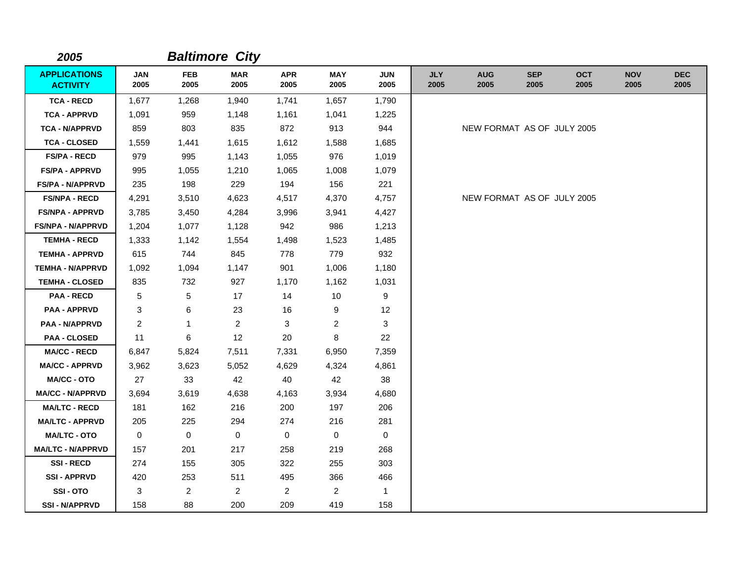| 2005                                   |                    |                    | <b>Baltimore City</b> |                    |                    |                    |                    |                            |                    |                    |                    |                    |
|----------------------------------------|--------------------|--------------------|-----------------------|--------------------|--------------------|--------------------|--------------------|----------------------------|--------------------|--------------------|--------------------|--------------------|
| <b>APPLICATIONS</b><br><b>ACTIVITY</b> | <b>JAN</b><br>2005 | <b>FEB</b><br>2005 | <b>MAR</b><br>2005    | <b>APR</b><br>2005 | <b>MAY</b><br>2005 | <b>JUN</b><br>2005 | <b>JLY</b><br>2005 | <b>AUG</b><br>2005         | <b>SEP</b><br>2005 | <b>OCT</b><br>2005 | <b>NOV</b><br>2005 | <b>DEC</b><br>2005 |
| <b>TCA - RECD</b>                      | 1,677              | 1,268              | 1,940                 | 1,741              | 1,657              | 1,790              |                    |                            |                    |                    |                    |                    |
| <b>TCA - APPRVD</b>                    | 1,091              | 959                | 1,148                 | 1,161              | 1,041              | 1,225              |                    |                            |                    |                    |                    |                    |
| <b>TCA - N/APPRVD</b>                  | 859                | 803                | 835                   | 872                | 913                | 944                |                    | NEW FORMAT AS OF JULY 2005 |                    |                    |                    |                    |
| <b>TCA - CLOSED</b>                    | 1,559              | 1,441              | 1,615                 | 1,612              | 1,588              | 1,685              |                    |                            |                    |                    |                    |                    |
| <b>FS/PA - RECD</b>                    | 979                | 995                | 1,143                 | 1,055              | 976                | 1,019              |                    |                            |                    |                    |                    |                    |
| <b>FS/PA - APPRVD</b>                  | 995                | 1,055              | 1,210                 | 1,065              | 1,008              | 1,079              |                    |                            |                    |                    |                    |                    |
| FS/PA - N/APPRVD                       | 235                | 198                | 229                   | 194                | 156                | 221                |                    |                            |                    |                    |                    |                    |
| <b>FS/NPA - RECD</b>                   | 4,291              | 3,510              | 4,623                 | 4,517              | 4,370              | 4,757              |                    | NEW FORMAT AS OF JULY 2005 |                    |                    |                    |                    |
| <b>FS/NPA - APPRVD</b>                 | 3,785              | 3,450              | 4,284                 | 3,996              | 3,941              | 4,427              |                    |                            |                    |                    |                    |                    |
| <b>FS/NPA - N/APPRVD</b>               | 1,204              | 1,077              | 1,128                 | 942                | 986                | 1,213              |                    |                            |                    |                    |                    |                    |
| <b>TEMHA - RECD</b>                    | 1,333              | 1,142              | 1,554                 | 1,498              | 1,523              | 1,485              |                    |                            |                    |                    |                    |                    |
| <b>TEMHA - APPRVD</b>                  | 615                | 744                | 845                   | 778                | 779                | 932                |                    |                            |                    |                    |                    |                    |
| <b>TEMHA - N/APPRVD</b>                | 1,092              | 1,094              | 1,147                 | 901                | 1,006              | 1,180              |                    |                            |                    |                    |                    |                    |
| <b>TEMHA - CLOSED</b>                  | 835                | 732                | 927                   | 1,170              | 1,162              | 1,031              |                    |                            |                    |                    |                    |                    |
| <b>PAA - RECD</b>                      | 5                  | $\,$ 5 $\,$        | 17                    | 14                 | 10                 | 9                  |                    |                            |                    |                    |                    |                    |
| <b>PAA - APPRVD</b>                    | 3                  | 6                  | 23                    | 16                 | 9                  | 12                 |                    |                            |                    |                    |                    |                    |
| <b>PAA - N/APPRVD</b>                  | $\overline{c}$     | $\mathbf{1}$       | $\overline{c}$        | 3                  | $\overline{c}$     | 3                  |                    |                            |                    |                    |                    |                    |
| <b>PAA - CLOSED</b>                    | 11                 | 6                  | 12                    | 20                 | 8                  | 22                 |                    |                            |                    |                    |                    |                    |
| <b>MA/CC - RECD</b>                    | 6,847              | 5,824              | 7,511                 | 7,331              | 6,950              | 7,359              |                    |                            |                    |                    |                    |                    |
| <b>MA/CC - APPRVD</b>                  | 3,962              | 3,623              | 5,052                 | 4,629              | 4,324              | 4,861              |                    |                            |                    |                    |                    |                    |
| <b>MA/CC - OTO</b>                     | 27                 | 33                 | 42                    | 40                 | 42                 | 38                 |                    |                            |                    |                    |                    |                    |
| <b>MA/CC - N/APPRVD</b>                | 3,694              | 3,619              | 4,638                 | 4,163              | 3,934              | 4,680              |                    |                            |                    |                    |                    |                    |
| <b>MA/LTC - RECD</b>                   | 181                | 162                | 216                   | 200                | 197                | 206                |                    |                            |                    |                    |                    |                    |
| <b>MA/LTC - APPRVD</b>                 | 205                | 225                | 294                   | 274                | 216                | 281                |                    |                            |                    |                    |                    |                    |
| <b>MA/LTC - OTO</b>                    | 0                  | 0                  | 0                     | 0                  | 0                  | 0                  |                    |                            |                    |                    |                    |                    |
| <b>MA/LTC - N/APPRVD</b>               | 157                | 201                | 217                   | 258                | 219                | 268                |                    |                            |                    |                    |                    |                    |
| <b>SSI-RECD</b>                        | 274                | 155                | 305                   | 322                | 255                | 303                |                    |                            |                    |                    |                    |                    |
| <b>SSI-APPRVD</b>                      | 420                | 253                | 511                   | 495                | 366                | 466                |                    |                            |                    |                    |                    |                    |
| SSI-OTO                                | 3                  | $\overline{2}$     | $\overline{c}$        | $\overline{a}$     | $\overline{2}$     | $\mathbf{1}$       |                    |                            |                    |                    |                    |                    |
| <b>SSI - N/APPRVD</b>                  | 158                | 88                 | 200                   | 209                | 419                | 158                |                    |                            |                    |                    |                    |                    |